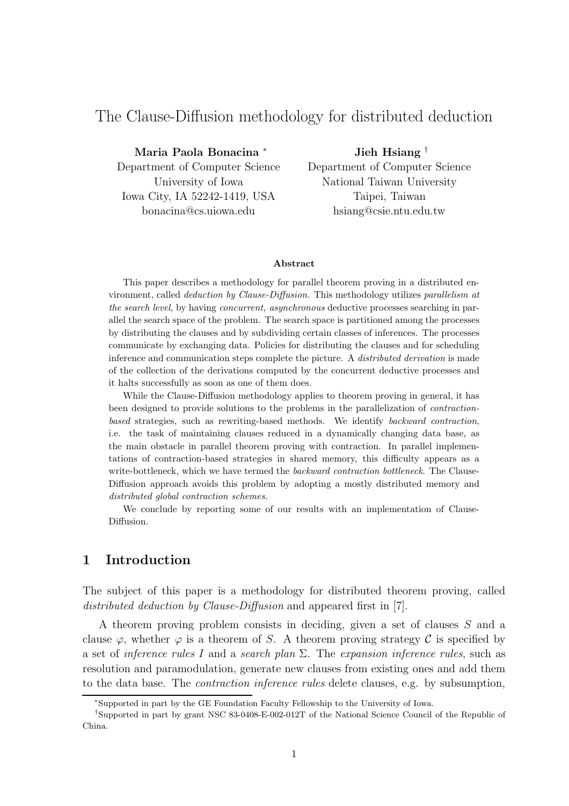# The Clause-Diffusion methodology for distributed deduction

Maria Paola Bonacina <sup>∗</sup> Department of Computer Science University of Iowa Iowa City, IA 52242-1419, USA bonacina@cs.uiowa.edu

Jieh Hsiang † Department of Computer Science National Taiwan University Taipei, Taiwan hsiang@csie.ntu.edu.tw

#### Abstract

This paper describes a methodology for parallel theorem proving in a distributed environment, called deduction by Clause-Diffusion. This methodology utilizes parallelism at the search level, by having concurrent, asynchronous deductive processes searching in parallel the search space of the problem. The search space is partitioned among the processes by distributing the clauses and by subdividing certain classes of inferences. The processes communicate by exchanging data. Policies for distributing the clauses and for scheduling inference and communication steps complete the picture. A distributed derivation is made of the collection of the derivations computed by the concurrent deductive processes and it halts successfully as soon as one of them does.

While the Clause-Diffusion methodology applies to theorem proving in general, it has been designed to provide solutions to the problems in the parallelization of contractionbased strategies, such as rewriting-based methods. We identify backward contraction, i.e. the task of maintaining clauses reduced in a dynamically changing data base, as the main obstacle in parallel theorem proving with contraction. In parallel implementations of contraction-based strategies in shared memory, this difficulty appears as a write-bottleneck, which we have termed the *backward contraction bottleneck*. The Clause-Diffusion approach avoids this problem by adopting a mostly distributed memory and distributed global contraction schemes.

We conclude by reporting some of our results with an implementation of Clause-Diffusion.

# 1 Introduction

The subject of this paper is a methodology for distributed theorem proving, called distributed deduction by Clause-Diffusion and appeared first in [7].

A theorem proving problem consists in deciding, given a set of clauses S and a clause  $\varphi$ , whether  $\varphi$  is a theorem of S. A theorem proving strategy C is specified by a set of inference rules I and a search plan  $\Sigma$ . The expansion inference rules, such as resolution and paramodulation, generate new clauses from existing ones and add them to the data base. The contraction inference rules delete clauses, e.g. by subsumption,

<sup>∗</sup>Supported in part by the GE Foundation Faculty Fellowship to the University of Iowa.

<sup>†</sup> Supported in part by grant NSC 83-0408-E-002-012T of the National Science Council of the Republic of China.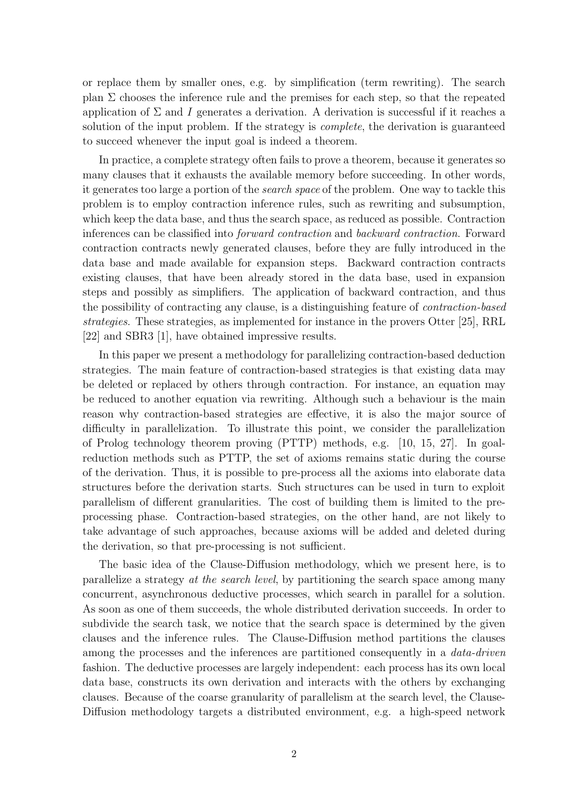or replace them by smaller ones, e.g. by simplification (term rewriting). The search plan  $\Sigma$  chooses the inference rule and the premises for each step, so that the repeated application of  $\Sigma$  and I generates a derivation. A derivation is successful if it reaches a solution of the input problem. If the strategy is complete, the derivation is guaranteed to succeed whenever the input goal is indeed a theorem.

In practice, a complete strategy often fails to prove a theorem, because it generates so many clauses that it exhausts the available memory before succeeding. In other words, it generates too large a portion of the search space of the problem. One way to tackle this problem is to employ contraction inference rules, such as rewriting and subsumption, which keep the data base, and thus the search space, as reduced as possible. Contraction inferences can be classified into forward contraction and backward contraction. Forward contraction contracts newly generated clauses, before they are fully introduced in the data base and made available for expansion steps. Backward contraction contracts existing clauses, that have been already stored in the data base, used in expansion steps and possibly as simplifiers. The application of backward contraction, and thus the possibility of contracting any clause, is a distinguishing feature of contraction-based strategies. These strategies, as implemented for instance in the provers Otter [25], RRL [22] and SBR3 [1], have obtained impressive results.

In this paper we present a methodology for parallelizing contraction-based deduction strategies. The main feature of contraction-based strategies is that existing data may be deleted or replaced by others through contraction. For instance, an equation may be reduced to another equation via rewriting. Although such a behaviour is the main reason why contraction-based strategies are effective, it is also the major source of difficulty in parallelization. To illustrate this point, we consider the parallelization of Prolog technology theorem proving (PTTP) methods, e.g. [10, 15, 27]. In goalreduction methods such as PTTP, the set of axioms remains static during the course of the derivation. Thus, it is possible to pre-process all the axioms into elaborate data structures before the derivation starts. Such structures can be used in turn to exploit parallelism of different granularities. The cost of building them is limited to the preprocessing phase. Contraction-based strategies, on the other hand, are not likely to take advantage of such approaches, because axioms will be added and deleted during the derivation, so that pre-processing is not sufficient.

The basic idea of the Clause-Diffusion methodology, which we present here, is to parallelize a strategy at the search level, by partitioning the search space among many concurrent, asynchronous deductive processes, which search in parallel for a solution. As soon as one of them succeeds, the whole distributed derivation succeeds. In order to subdivide the search task, we notice that the search space is determined by the given clauses and the inference rules. The Clause-Diffusion method partitions the clauses among the processes and the inferences are partitioned consequently in a data-driven fashion. The deductive processes are largely independent: each process has its own local data base, constructs its own derivation and interacts with the others by exchanging clauses. Because of the coarse granularity of parallelism at the search level, the Clause-Diffusion methodology targets a distributed environment, e.g. a high-speed network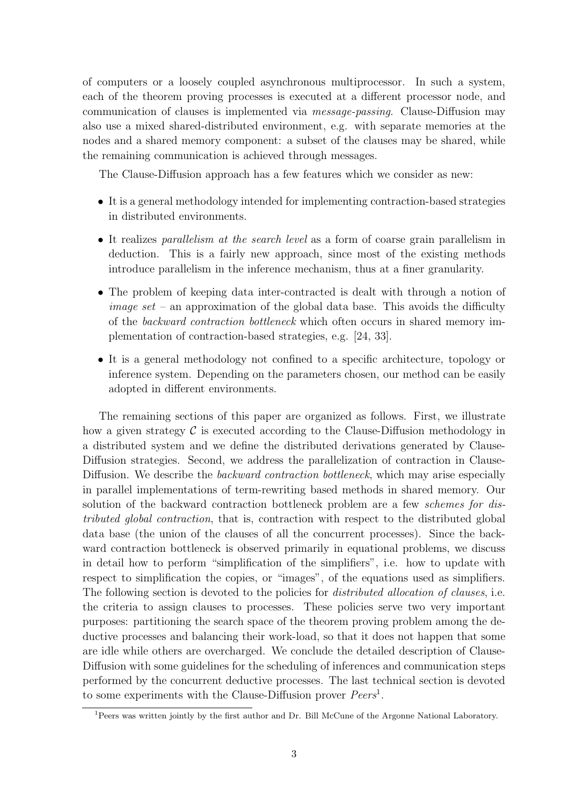of computers or a loosely coupled asynchronous multiprocessor. In such a system, each of the theorem proving processes is executed at a different processor node, and communication of clauses is implemented via message-passing. Clause-Diffusion may also use a mixed shared-distributed environment, e.g. with separate memories at the nodes and a shared memory component: a subset of the clauses may be shared, while the remaining communication is achieved through messages.

The Clause-Diffusion approach has a few features which we consider as new:

- It is a general methodology intended for implementing contraction-based strategies in distributed environments.
- It realizes parallelism at the search level as a form of coarse grain parallelism in deduction. This is a fairly new approach, since most of the existing methods introduce parallelism in the inference mechanism, thus at a finer granularity.
- The problem of keeping data inter-contracted is dealt with through a notion of *image set* – an approximation of the global data base. This avoids the difficulty of the backward contraction bottleneck which often occurs in shared memory implementation of contraction-based strategies, e.g. [24, 33].
- It is a general methodology not confined to a specific architecture, topology or inference system. Depending on the parameters chosen, our method can be easily adopted in different environments.

The remaining sections of this paper are organized as follows. First, we illustrate how a given strategy  $\mathcal C$  is executed according to the Clause-Diffusion methodology in a distributed system and we define the distributed derivations generated by Clause-Diffusion strategies. Second, we address the parallelization of contraction in Clause-Diffusion. We describe the *backward contraction bottleneck*, which may arise especially in parallel implementations of term-rewriting based methods in shared memory. Our solution of the backward contraction bottleneck problem are a few schemes for distributed global contraction, that is, contraction with respect to the distributed global data base (the union of the clauses of all the concurrent processes). Since the backward contraction bottleneck is observed primarily in equational problems, we discuss in detail how to perform "simplification of the simplifiers", i.e. how to update with respect to simplification the copies, or "images", of the equations used as simplifiers. The following section is devoted to the policies for *distributed allocation of clauses*, i.e. the criteria to assign clauses to processes. These policies serve two very important purposes: partitioning the search space of the theorem proving problem among the deductive processes and balancing their work-load, so that it does not happen that some are idle while others are overcharged. We conclude the detailed description of Clause-Diffusion with some guidelines for the scheduling of inferences and communication steps performed by the concurrent deductive processes. The last technical section is devoted to some experiments with the Clause-Diffusion prover  $Peers<sup>1</sup>$ .

<sup>1</sup>Peers was written jointly by the first author and Dr. Bill McCune of the Argonne National Laboratory.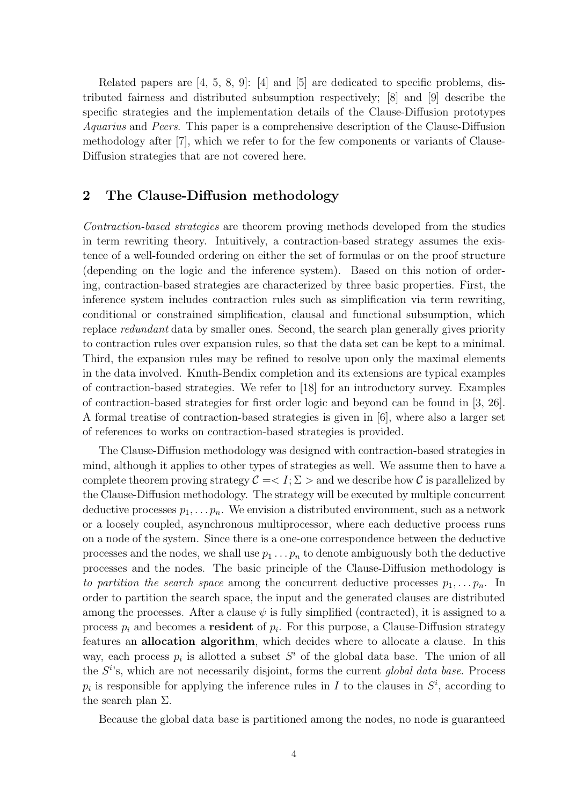Related papers are [4, 5, 8, 9]: [4] and [5] are dedicated to specific problems, distributed fairness and distributed subsumption respectively; [8] and [9] describe the specific strategies and the implementation details of the Clause-Diffusion prototypes Aquarius and Peers. This paper is a comprehensive description of the Clause-Diffusion methodology after [7], which we refer to for the few components or variants of Clause-Diffusion strategies that are not covered here.

# 2 The Clause-Diffusion methodology

Contraction-based strategies are theorem proving methods developed from the studies in term rewriting theory. Intuitively, a contraction-based strategy assumes the existence of a well-founded ordering on either the set of formulas or on the proof structure (depending on the logic and the inference system). Based on this notion of ordering, contraction-based strategies are characterized by three basic properties. First, the inference system includes contraction rules such as simplification via term rewriting, conditional or constrained simplification, clausal and functional subsumption, which replace redundant data by smaller ones. Second, the search plan generally gives priority to contraction rules over expansion rules, so that the data set can be kept to a minimal. Third, the expansion rules may be refined to resolve upon only the maximal elements in the data involved. Knuth-Bendix completion and its extensions are typical examples of contraction-based strategies. We refer to [18] for an introductory survey. Examples of contraction-based strategies for first order logic and beyond can be found in [3, 26]. A formal treatise of contraction-based strategies is given in [6], where also a larger set of references to works on contraction-based strategies is provided.

The Clause-Diffusion methodology was designed with contraction-based strategies in mind, although it applies to other types of strategies as well. We assume then to have a complete theorem proving strategy  $\mathcal{C} = \langle I; \Sigma \rangle$  and we describe how C is parallelized by the Clause-Diffusion methodology. The strategy will be executed by multiple concurrent deductive processes  $p_1, \ldots, p_n$ . We envision a distributed environment, such as a network or a loosely coupled, asynchronous multiprocessor, where each deductive process runs on a node of the system. Since there is a one-one correspondence between the deductive processes and the nodes, we shall use  $p_1 \nldots p_n$  to denote ambiguously both the deductive processes and the nodes. The basic principle of the Clause-Diffusion methodology is to partition the search space among the concurrent deductive processes  $p_1, \ldots, p_n$ . In order to partition the search space, the input and the generated clauses are distributed among the processes. After a clause  $\psi$  is fully simplified (contracted), it is assigned to a process  $p_i$  and becomes a **resident** of  $p_i$ . For this purpose, a Clause-Diffusion strategy features an allocation algorithm, which decides where to allocate a clause. In this way, each process  $p_i$  is allotted a subset  $S^i$  of the global data base. The union of all the  $S^{i}$ 's, which are not necessarily disjoint, forms the current global data base. Process  $p_i$  is responsible for applying the inference rules in I to the clauses in  $S^i$ , according to the search plan  $\Sigma$ .

Because the global data base is partitioned among the nodes, no node is guaranteed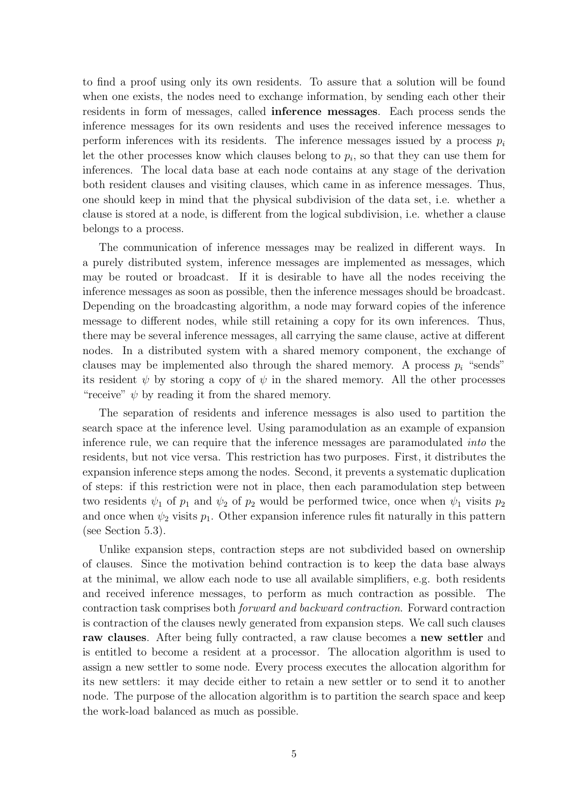to find a proof using only its own residents. To assure that a solution will be found when one exists, the nodes need to exchange information, by sending each other their residents in form of messages, called inference messages. Each process sends the inference messages for its own residents and uses the received inference messages to perform inferences with its residents. The inference messages issued by a process  $p_i$ let the other processes know which clauses belong to  $p_i$ , so that they can use them for inferences. The local data base at each node contains at any stage of the derivation both resident clauses and visiting clauses, which came in as inference messages. Thus, one should keep in mind that the physical subdivision of the data set, i.e. whether a clause is stored at a node, is different from the logical subdivision, i.e. whether a clause belongs to a process.

The communication of inference messages may be realized in different ways. In a purely distributed system, inference messages are implemented as messages, which may be routed or broadcast. If it is desirable to have all the nodes receiving the inference messages as soon as possible, then the inference messages should be broadcast. Depending on the broadcasting algorithm, a node may forward copies of the inference message to different nodes, while still retaining a copy for its own inferences. Thus, there may be several inference messages, all carrying the same clause, active at different nodes. In a distributed system with a shared memory component, the exchange of clauses may be implemented also through the shared memory. A process  $p_i$  "sends" its resident  $\psi$  by storing a copy of  $\psi$  in the shared memory. All the other processes "receive"  $\psi$  by reading it from the shared memory.

The separation of residents and inference messages is also used to partition the search space at the inference level. Using paramodulation as an example of expansion inference rule, we can require that the inference messages are paramodulated into the residents, but not vice versa. This restriction has two purposes. First, it distributes the expansion inference steps among the nodes. Second, it prevents a systematic duplication of steps: if this restriction were not in place, then each paramodulation step between two residents  $\psi_1$  of  $p_1$  and  $\psi_2$  of  $p_2$  would be performed twice, once when  $\psi_1$  visits  $p_2$ and once when  $\psi_2$  visits  $p_1$ . Other expansion inference rules fit naturally in this pattern (see Section 5.3).

Unlike expansion steps, contraction steps are not subdivided based on ownership of clauses. Since the motivation behind contraction is to keep the data base always at the minimal, we allow each node to use all available simplifiers, e.g. both residents and received inference messages, to perform as much contraction as possible. The contraction task comprises both forward and backward contraction. Forward contraction is contraction of the clauses newly generated from expansion steps. We call such clauses raw clauses. After being fully contracted, a raw clause becomes a new settler and is entitled to become a resident at a processor. The allocation algorithm is used to assign a new settler to some node. Every process executes the allocation algorithm for its new settlers: it may decide either to retain a new settler or to send it to another node. The purpose of the allocation algorithm is to partition the search space and keep the work-load balanced as much as possible.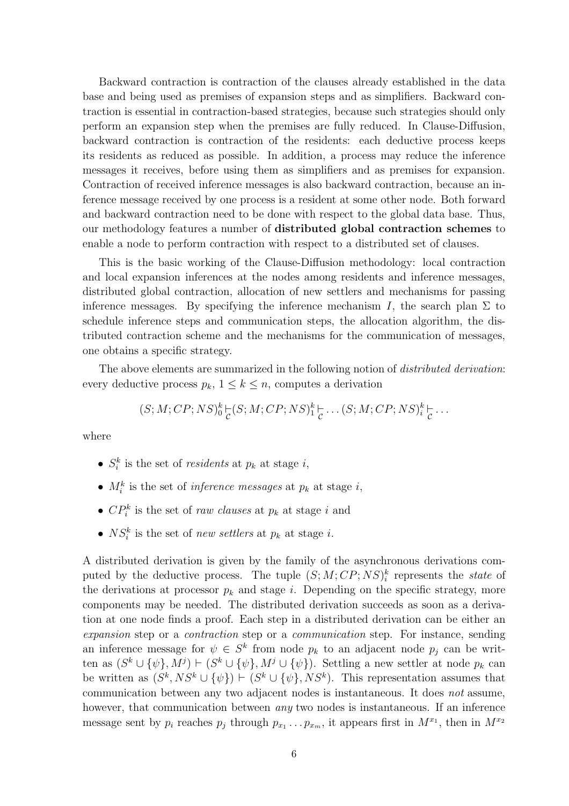Backward contraction is contraction of the clauses already established in the data base and being used as premises of expansion steps and as simplifiers. Backward contraction is essential in contraction-based strategies, because such strategies should only perform an expansion step when the premises are fully reduced. In Clause-Diffusion, backward contraction is contraction of the residents: each deductive process keeps its residents as reduced as possible. In addition, a process may reduce the inference messages it receives, before using them as simplifiers and as premises for expansion. Contraction of received inference messages is also backward contraction, because an inference message received by one process is a resident at some other node. Both forward and backward contraction need to be done with respect to the global data base. Thus, our methodology features a number of distributed global contraction schemes to enable a node to perform contraction with respect to a distributed set of clauses.

This is the basic working of the Clause-Diffusion methodology: local contraction and local expansion inferences at the nodes among residents and inference messages, distributed global contraction, allocation of new settlers and mechanisms for passing inference messages. By specifying the inference mechanism I, the search plan  $\Sigma$  to schedule inference steps and communication steps, the allocation algorithm, the distributed contraction scheme and the mechanisms for the communication of messages, one obtains a specific strategy.

The above elements are summarized in the following notion of *distributed derivation*: every deductive process  $p_k$ ,  $1 \leq k \leq n$ , computes a derivation

$$
(S; M; CP; NS)^k_0\underset{\mathcal{C}}{\models}(S; M; CP; NS)^k_1\underset{\mathcal{C}}{\models}\dots(S; M; CP; NS)^k_i\underset{\mathcal{C}}{\models}\dots
$$

where

- $S_i^k$  is the set of *residents* at  $p_k$  at stage *i*,
- $M_i^k$  is the set of *inference messages* at  $p_k$  at stage *i*,
- $\mathbb{C}P_i^k$  is the set of *raw clauses* at  $p_k$  at stage i and
- $NS_i^k$  is the set of *new settlers* at  $p_k$  at stage *i*.

A distributed derivation is given by the family of the asynchronous derivations computed by the deductive process. The tuple  $(S; M; CP; NS)^k_i$  represents the *state* of the derivations at processor  $p_k$  and stage i. Depending on the specific strategy, more components may be needed. The distributed derivation succeeds as soon as a derivation at one node finds a proof. Each step in a distributed derivation can be either an expansion step or a contraction step or a communication step. For instance, sending an inference message for  $\psi \in S^k$  from node  $p_k$  to an adjacent node  $p_j$  can be written as  $(S^k \cup {\psi}, M^j) \vdash (S^k \cup {\psi}, M^j \cup {\psi}).$  Settling a new settler at node  $p_k$  can be written as  $(S^k, NS^k \cup {\psi}) \vdash (S^k \cup {\psi}, NS^k)$ . This representation assumes that communication between any two adjacent nodes is instantaneous. It does not assume, however, that communication between *any* two nodes is instantaneous. If an inference message sent by  $p_i$  reaches  $p_j$  through  $p_{x_1} \ldots p_{x_m}$ , it appears first in  $M^{x_1}$ , then in  $M^{x_2}$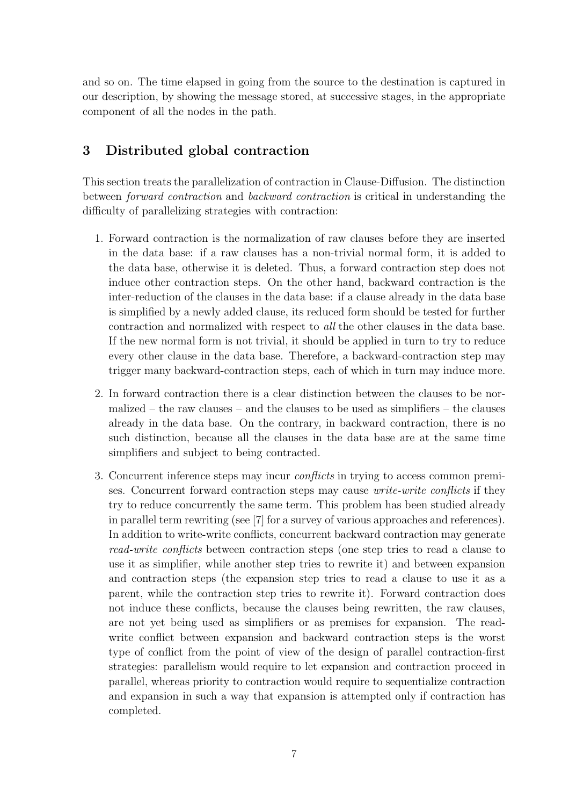and so on. The time elapsed in going from the source to the destination is captured in our description, by showing the message stored, at successive stages, in the appropriate component of all the nodes in the path.

# 3 Distributed global contraction

This section treats the parallelization of contraction in Clause-Diffusion. The distinction between forward contraction and backward contraction is critical in understanding the difficulty of parallelizing strategies with contraction:

- 1. Forward contraction is the normalization of raw clauses before they are inserted in the data base: if a raw clauses has a non-trivial normal form, it is added to the data base, otherwise it is deleted. Thus, a forward contraction step does not induce other contraction steps. On the other hand, backward contraction is the inter-reduction of the clauses in the data base: if a clause already in the data base is simplified by a newly added clause, its reduced form should be tested for further contraction and normalized with respect to all the other clauses in the data base. If the new normal form is not trivial, it should be applied in turn to try to reduce every other clause in the data base. Therefore, a backward-contraction step may trigger many backward-contraction steps, each of which in turn may induce more.
- 2. In forward contraction there is a clear distinction between the clauses to be normalized – the raw clauses – and the clauses to be used as simplifiers – the clauses already in the data base. On the contrary, in backward contraction, there is no such distinction, because all the clauses in the data base are at the same time simplifiers and subject to being contracted.
- 3. Concurrent inference steps may incur conflicts in trying to access common premises. Concurrent forward contraction steps may cause write-write conflicts if they try to reduce concurrently the same term. This problem has been studied already in parallel term rewriting (see [7] for a survey of various approaches and references). In addition to write-write conflicts, concurrent backward contraction may generate read-write conflicts between contraction steps (one step tries to read a clause to use it as simplifier, while another step tries to rewrite it) and between expansion and contraction steps (the expansion step tries to read a clause to use it as a parent, while the contraction step tries to rewrite it). Forward contraction does not induce these conflicts, because the clauses being rewritten, the raw clauses, are not yet being used as simplifiers or as premises for expansion. The readwrite conflict between expansion and backward contraction steps is the worst type of conflict from the point of view of the design of parallel contraction-first strategies: parallelism would require to let expansion and contraction proceed in parallel, whereas priority to contraction would require to sequentialize contraction and expansion in such a way that expansion is attempted only if contraction has completed.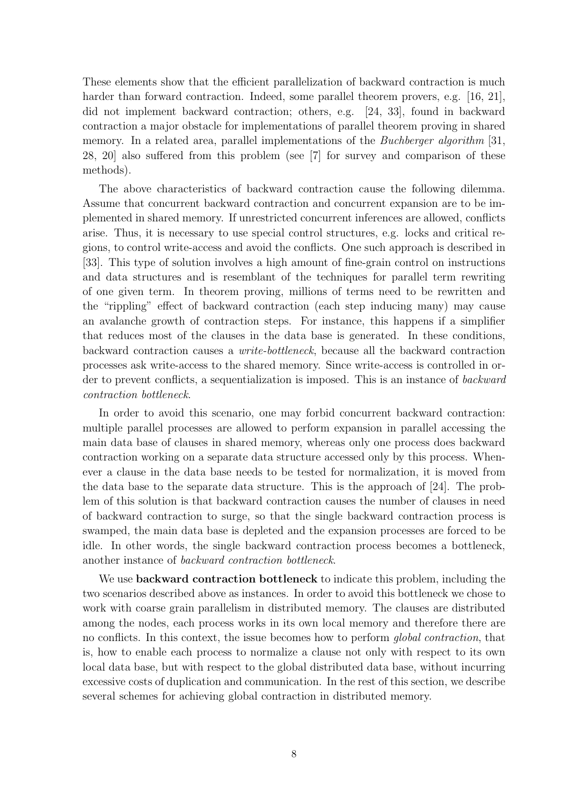These elements show that the efficient parallelization of backward contraction is much harder than forward contraction. Indeed, some parallel theorem provers, e.g. [16, 21], did not implement backward contraction; others, e.g. [24, 33], found in backward contraction a major obstacle for implementations of parallel theorem proving in shared memory. In a related area, parallel implementations of the *Buchberger algorithm* [31, 28, 20] also suffered from this problem (see [7] for survey and comparison of these methods).

The above characteristics of backward contraction cause the following dilemma. Assume that concurrent backward contraction and concurrent expansion are to be implemented in shared memory. If unrestricted concurrent inferences are allowed, conflicts arise. Thus, it is necessary to use special control structures, e.g. locks and critical regions, to control write-access and avoid the conflicts. One such approach is described in [33]. This type of solution involves a high amount of fine-grain control on instructions and data structures and is resemblant of the techniques for parallel term rewriting of one given term. In theorem proving, millions of terms need to be rewritten and the "rippling" effect of backward contraction (each step inducing many) may cause an avalanche growth of contraction steps. For instance, this happens if a simplifier that reduces most of the clauses in the data base is generated. In these conditions, backward contraction causes a write-bottleneck, because all the backward contraction processes ask write-access to the shared memory. Since write-access is controlled in order to prevent conflicts, a sequentialization is imposed. This is an instance of backward contraction bottleneck.

In order to avoid this scenario, one may forbid concurrent backward contraction: multiple parallel processes are allowed to perform expansion in parallel accessing the main data base of clauses in shared memory, whereas only one process does backward contraction working on a separate data structure accessed only by this process. Whenever a clause in the data base needs to be tested for normalization, it is moved from the data base to the separate data structure. This is the approach of [24]. The problem of this solution is that backward contraction causes the number of clauses in need of backward contraction to surge, so that the single backward contraction process is swamped, the main data base is depleted and the expansion processes are forced to be idle. In other words, the single backward contraction process becomes a bottleneck, another instance of backward contraction bottleneck.

We use **backward contraction bottleneck** to indicate this problem, including the two scenarios described above as instances. In order to avoid this bottleneck we chose to work with coarse grain parallelism in distributed memory. The clauses are distributed among the nodes, each process works in its own local memory and therefore there are no conflicts. In this context, the issue becomes how to perform global contraction, that is, how to enable each process to normalize a clause not only with respect to its own local data base, but with respect to the global distributed data base, without incurring excessive costs of duplication and communication. In the rest of this section, we describe several schemes for achieving global contraction in distributed memory.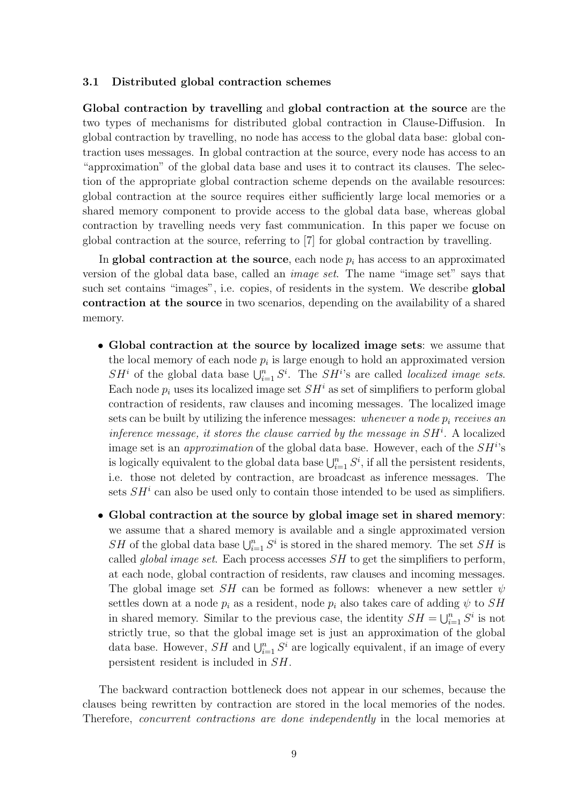### 3.1 Distributed global contraction schemes

Global contraction by travelling and global contraction at the source are the two types of mechanisms for distributed global contraction in Clause-Diffusion. In global contraction by travelling, no node has access to the global data base: global contraction uses messages. In global contraction at the source, every node has access to an "approximation" of the global data base and uses it to contract its clauses. The selection of the appropriate global contraction scheme depends on the available resources: global contraction at the source requires either sufficiently large local memories or a shared memory component to provide access to the global data base, whereas global contraction by travelling needs very fast communication. In this paper we focuse on global contraction at the source, referring to [7] for global contraction by travelling.

In global contraction at the source, each node  $p_i$  has access to an approximated version of the global data base, called an image set. The name "image set" says that such set contains "images", i.e. copies, of residents in the system. We describe global contraction at the source in two scenarios, depending on the availability of a shared memory.

- Global contraction at the source by localized image sets: we assume that the local memory of each node  $p_i$  is large enough to hold an approximated version  $SH<sup>i</sup>$  of the global data base  $\bigcup_{i=1}^{n} S^{i}$ . The  $SH<sup>i</sup>$ 's are called *localized image sets*. Each node  $p_i$  uses its localized image set  $SH^i$  as set of simplifiers to perform global contraction of residents, raw clauses and incoming messages. The localized image sets can be built by utilizing the inference messages: whenever a node  $p_i$  receives an inference message, it stores the clause carried by the message in  $SH<sup>i</sup>$ . A localized image set is an *approximation* of the global data base. However, each of the  $SH<sup>i</sup>$ 's is logically equivalent to the global data base  $\bigcup_{i=1}^n S^i$ , if all the persistent residents, i.e. those not deleted by contraction, are broadcast as inference messages. The sets  $SH<sup>i</sup>$  can also be used only to contain those intended to be used as simplifiers.
- Global contraction at the source by global image set in shared memory: we assume that a shared memory is available and a single approximated version SH of the global data base  $\bigcup_{i=1}^n S^i$  is stored in the shared memory. The set SH is called *global image set*. Each process accesses  $SH$  to get the simplifiers to perform, at each node, global contraction of residents, raw clauses and incoming messages. The global image set SH can be formed as follows: whenever a new settler  $\psi$ settles down at a node  $p_i$  as a resident, node  $p_i$  also takes care of adding  $\psi$  to SH in shared memory. Similar to the previous case, the identity  $SH = \bigcup_{i=1}^{n} S^i$  is not strictly true, so that the global image set is just an approximation of the global data base. However,  $SH$  and  $\bigcup_{i=1}^n S^i$  are logically equivalent, if an image of every persistent resident is included in SH.

The backward contraction bottleneck does not appear in our schemes, because the clauses being rewritten by contraction are stored in the local memories of the nodes. Therefore, concurrent contractions are done independently in the local memories at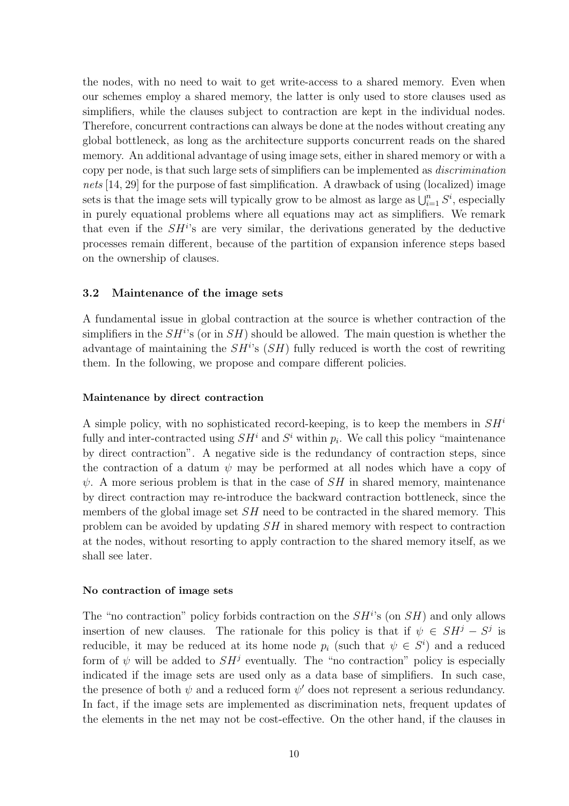the nodes, with no need to wait to get write-access to a shared memory. Even when our schemes employ a shared memory, the latter is only used to store clauses used as simplifiers, while the clauses subject to contraction are kept in the individual nodes. Therefore, concurrent contractions can always be done at the nodes without creating any global bottleneck, as long as the architecture supports concurrent reads on the shared memory. An additional advantage of using image sets, either in shared memory or with a copy per node, is that such large sets of simplifiers can be implemented as discrimination nets [14, 29] for the purpose of fast simplification. A drawback of using (localized) image sets is that the image sets will typically grow to be almost as large as  $\bigcup_{i=1}^n S^i$ , especially in purely equational problems where all equations may act as simplifiers. We remark that even if the  $SH<sup>i</sup>$ 's are very similar, the derivations generated by the deductive processes remain different, because of the partition of expansion inference steps based on the ownership of clauses.

## 3.2 Maintenance of the image sets

A fundamental issue in global contraction at the source is whether contraction of the simplifiers in the  $SH<sup>i</sup>$ 's (or in  $SH$ ) should be allowed. The main question is whether the advantage of maintaining the  $SH<sup>i</sup>$ 's  $(SH)$  fully reduced is worth the cost of rewriting them. In the following, we propose and compare different policies.

## Maintenance by direct contraction

A simple policy, with no sophisticated record-keeping, is to keep the members in  $SH<sup>i</sup>$ fully and inter-contracted using  $SH<sup>i</sup>$  and  $S<sup>i</sup>$  within  $p<sub>i</sub>$ . We call this policy "maintenance by direct contraction". A negative side is the redundancy of contraction steps, since the contraction of a datum  $\psi$  may be performed at all nodes which have a copy of  $\psi$ . A more serious problem is that in the case of SH in shared memory, maintenance by direct contraction may re-introduce the backward contraction bottleneck, since the members of the global image set  $SH$  need to be contracted in the shared memory. This problem can be avoided by updating SH in shared memory with respect to contraction at the nodes, without resorting to apply contraction to the shared memory itself, as we shall see later.

## No contraction of image sets

The "no contraction" policy forbids contraction on the  $SH<sup>i</sup>$ s (on  $SH$ ) and only allows insertion of new clauses. The rationale for this policy is that if  $\psi \in SH^j - S^j$  is reducible, it may be reduced at its home node  $p_i$  (such that  $\psi \in S^i$ ) and a reduced form of  $\psi$  will be added to  $SH<sup>j</sup>$  eventually. The "no contraction" policy is especially indicated if the image sets are used only as a data base of simplifiers. In such case, the presence of both  $\psi$  and a reduced form  $\psi'$  does not represent a serious redundancy. In fact, if the image sets are implemented as discrimination nets, frequent updates of the elements in the net may not be cost-effective. On the other hand, if the clauses in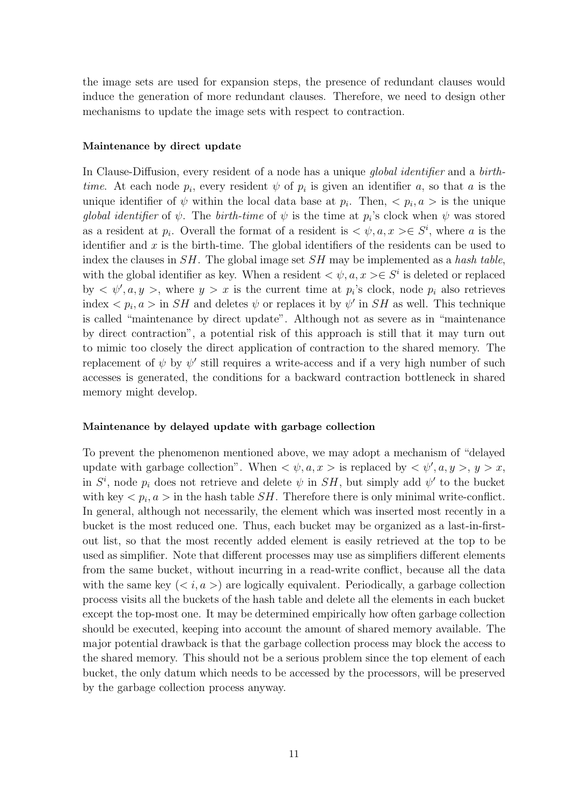the image sets are used for expansion steps, the presence of redundant clauses would induce the generation of more redundant clauses. Therefore, we need to design other mechanisms to update the image sets with respect to contraction.

### Maintenance by direct update

In Clause-Diffusion, every resident of a node has a unique *global identifier* and a birthtime. At each node  $p_i$ , every resident  $\psi$  of  $p_i$  is given an identifier a, so that a is the unique identifier of  $\psi$  within the local data base at  $p_i$ . Then,  $\langle p_i, a \rangle$  is the unique global identifier of  $\psi$ . The birth-time of  $\psi$  is the time at  $p_i$ 's clock when  $\psi$  was stored as a resident at  $p_i$ . Overall the format of a resident is  $\langle \psi, a, x \rangle \in S^i$ , where a is the identifier and  $x$  is the birth-time. The global identifiers of the residents can be used to index the clauses in  $SH$ . The global image set  $SH$  may be implemented as a hash table, with the global identifier as key. When a resident  $\langle \psi, a, x \rangle \in S^i$  is deleted or replaced by  $\langle \psi', a, y \rangle$ , where  $y > x$  is the current time at  $p_i$ 's clock, node  $p_i$  also retrieves index  $\langle p_i, a \rangle$  in  $SH$  and deletes  $\psi$  or replaces it by  $\psi'$  in  $SH$  as well. This technique is called "maintenance by direct update". Although not as severe as in "maintenance by direct contraction", a potential risk of this approach is still that it may turn out to mimic too closely the direct application of contraction to the shared memory. The replacement of  $\psi$  by  $\psi'$  still requires a write-access and if a very high number of such accesses is generated, the conditions for a backward contraction bottleneck in shared memory might develop.

#### Maintenance by delayed update with garbage collection

To prevent the phenomenon mentioned above, we may adopt a mechanism of "delayed update with garbage collection". When  $\langle \psi, a, x \rangle$  is replaced by  $\langle \psi', a, y \rangle, y > x$ , in  $S^i$ , node  $p_i$  does not retrieve and delete  $\psi$  in  $SH$ , but simply add  $\psi'$  to the bucket with key  $\langle p_i, a \rangle$  in the hash table *SH*. Therefore there is only minimal write-conflict. In general, although not necessarily, the element which was inserted most recently in a bucket is the most reduced one. Thus, each bucket may be organized as a last-in-firstout list, so that the most recently added element is easily retrieved at the top to be used as simplifier. Note that different processes may use as simplifiers different elements from the same bucket, without incurring in a read-write conflict, because all the data with the same key  $(*i*, a>)$  are logically equivalent. Periodically, a garbage collection process visits all the buckets of the hash table and delete all the elements in each bucket except the top-most one. It may be determined empirically how often garbage collection should be executed, keeping into account the amount of shared memory available. The major potential drawback is that the garbage collection process may block the access to the shared memory. This should not be a serious problem since the top element of each bucket, the only datum which needs to be accessed by the processors, will be preserved by the garbage collection process anyway.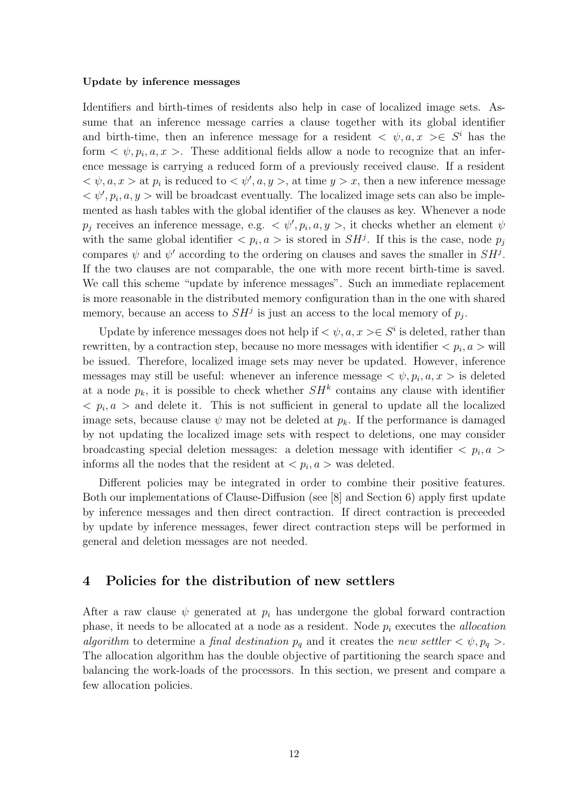#### Update by inference messages

Identifiers and birth-times of residents also help in case of localized image sets. Assume that an inference message carries a clause together with its global identifier and birth-time, then an inference message for a resident  $\langle \psi, a, x \rangle \in S^i$  has the form  $\langle \psi, p_i, a, x \rangle$ . These additional fields allow a node to recognize that an inference message is carrying a reduced form of a previously received clause. If a resident  $\langle \psi, a, x \rangle$  at  $p_i$  is reduced to  $\langle \psi', a, y \rangle$ , at time  $y > x$ , then a new inference message  $\langle \psi', p_i, a, y \rangle$  will be broadcast eventually. The localized image sets can also be implemented as hash tables with the global identifier of the clauses as key. Whenever a node  $p_j$  receives an inference message, e.g.  $\langle \psi', p_i, a, y \rangle$ , it checks whether an element  $\psi$ with the same global identifier  $\langle p_i, a \rangle$  is stored in  $SH^j$ . If this is the case, node  $p_j$ compares  $\psi$  and  $\psi'$  according to the ordering on clauses and saves the smaller in  $SH^j$ . If the two clauses are not comparable, the one with more recent birth-time is saved. We call this scheme "update by inference messages". Such an immediate replacement is more reasonable in the distributed memory configuration than in the one with shared memory, because an access to  $SH<sup>j</sup>$  is just an access to the local memory of  $p_j$ .

Update by inference messages does not help if  $\langle \psi, a, x \rangle \in S^i$  is deleted, rather than rewritten, by a contraction step, because no more messages with identifier  $\langle p_i, a \rangle$  will be issued. Therefore, localized image sets may never be updated. However, inference messages may still be useful: whenever an inference message  $\langle \psi, p_i, a, x \rangle$  is deleted at a node  $p_k$ , it is possible to check whether  $SH^k$  contains any clause with identifier  $\langle p_i, a \rangle$  and delete it. This is not sufficient in general to update all the localized image sets, because clause  $\psi$  may not be deleted at  $p_k$ . If the performance is damaged by not updating the localized image sets with respect to deletions, one may consider broadcasting special deletion messages: a deletion message with identifier  $\langle p_i, a \rangle$ informs all the nodes that the resident at  $\langle p_i, a \rangle$  was deleted.

Different policies may be integrated in order to combine their positive features. Both our implementations of Clause-Diffusion (see [8] and Section 6) apply first update by inference messages and then direct contraction. If direct contraction is preceeded by update by inference messages, fewer direct contraction steps will be performed in general and deletion messages are not needed.

# 4 Policies for the distribution of new settlers

After a raw clause  $\psi$  generated at  $p_i$  has undergone the global forward contraction phase, it needs to be allocated at a node as a resident. Node  $p_i$  executes the *allocation* algorithm to determine a final destination  $p_q$  and it creates the new settler  $\langle \psi, p_q \rangle$ . The allocation algorithm has the double objective of partitioning the search space and balancing the work-loads of the processors. In this section, we present and compare a few allocation policies.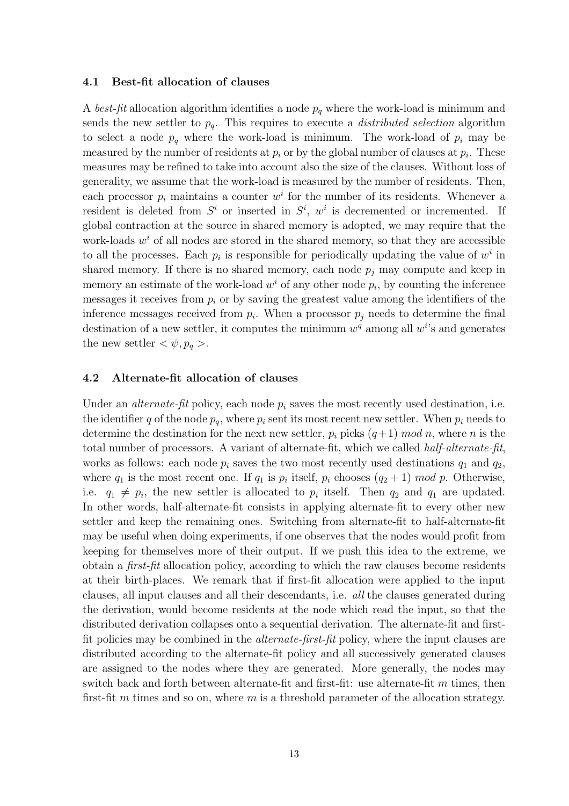#### 4.1 Best-fit allocation of clauses

A best-fit allocation algorithm identifies a node  $p<sub>q</sub>$  where the work-load is minimum and sends the new settler to  $p_q$ . This requires to execute a *distributed selection* algorithm to select a node  $p_q$  where the work-load is minimum. The work-load of  $p_i$  may be measured by the number of residents at  $p_i$  or by the global number of clauses at  $p_i$ . These measures may be refined to take into account also the size of the clauses. Without loss of generality, we assume that the work-load is measured by the number of residents. Then, each processor  $p_i$  maintains a counter  $w^i$  for the number of its residents. Whenever a resident is deleted from  $S^i$  or inserted in  $S^i$ ,  $w^i$  is decremented or incremented. If global contraction at the source in shared memory is adopted, we may require that the work-loads  $w<sup>i</sup>$  of all nodes are stored in the shared memory, so that they are accessible to all the processes. Each  $p_i$  is responsible for periodically updating the value of  $w^i$  in shared memory. If there is no shared memory, each node  $p_i$  may compute and keep in memory an estimate of the work-load  $w^i$  of any other node  $p_i$ , by counting the inference messages it receives from  $p_i$  or by saving the greatest value among the identifiers of the inference messages received from  $p_i$ . When a processor  $p_j$  needs to determine the final destination of a new settler, it computes the minimum  $w^q$  among all  $w^i$ 's and generates the new settler  $\langle \psi, p_q \rangle$ .

### 4.2 Alternate-fit allocation of clauses

Under an *alternate-fit* policy, each node  $p_i$  saves the most recently used destination, i.e. the identifier q of the node  $p_q$ , where  $p_i$  sent its most recent new settler. When  $p_i$  needs to determine the destination for the next new settler,  $p_i$  picks  $(q+1) \mod n$ , where n is the total number of processors. A variant of alternate-fit, which we called half-alternate-fit, works as follows: each node  $p_i$  saves the two most recently used destinations  $q_1$  and  $q_2$ , where  $q_1$  is the most recent one. If  $q_1$  is  $p_i$  itself,  $p_i$  chooses  $(q_2 + 1) \mod p$ . Otherwise, i.e.  $q_1 \neq p_i$ , the new settler is allocated to  $p_i$  itself. Then  $q_2$  and  $q_1$  are updated. In other words, half-alternate-fit consists in applying alternate-fit to every other new settler and keep the remaining ones. Switching from alternate-fit to half-alternate-fit may be useful when doing experiments, if one observes that the nodes would profit from keeping for themselves more of their output. If we push this idea to the extreme, we obtain a first-fit allocation policy, according to which the raw clauses become residents at their birth-places. We remark that if first-fit allocation were applied to the input clauses, all input clauses and all their descendants, i.e. all the clauses generated during the derivation, would become residents at the node which read the input, so that the distributed derivation collapses onto a sequential derivation. The alternate-fit and firstfit policies may be combined in the alternate-first-fit policy, where the input clauses are distributed according to the alternate-fit policy and all successively generated clauses are assigned to the nodes where they are generated. More generally, the nodes may switch back and forth between alternate-fit and first-fit: use alternate-fit  $m$  times, then first-fit m times and so on, where m is a threshold parameter of the allocation strategy.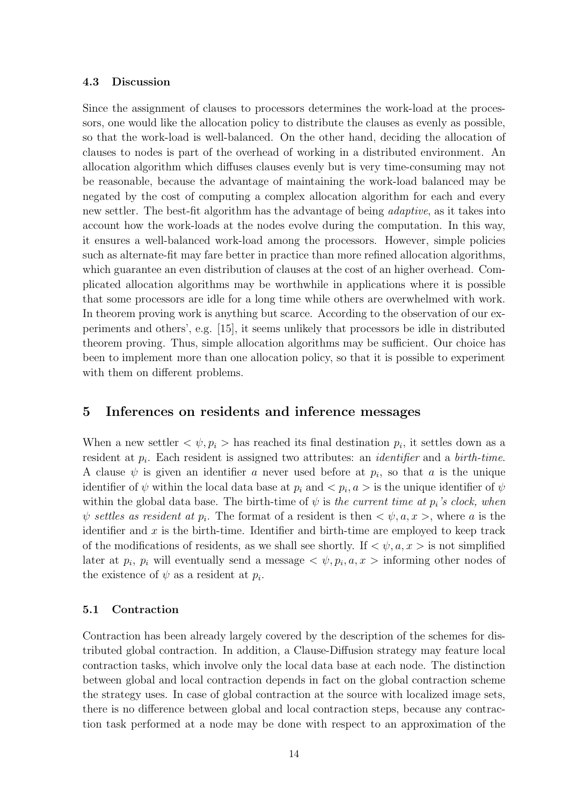## 4.3 Discussion

Since the assignment of clauses to processors determines the work-load at the processors, one would like the allocation policy to distribute the clauses as evenly as possible, so that the work-load is well-balanced. On the other hand, deciding the allocation of clauses to nodes is part of the overhead of working in a distributed environment. An allocation algorithm which diffuses clauses evenly but is very time-consuming may not be reasonable, because the advantage of maintaining the work-load balanced may be negated by the cost of computing a complex allocation algorithm for each and every new settler. The best-fit algorithm has the advantage of being adaptive, as it takes into account how the work-loads at the nodes evolve during the computation. In this way, it ensures a well-balanced work-load among the processors. However, simple policies such as alternate-fit may fare better in practice than more refined allocation algorithms, which guarantee an even distribution of clauses at the cost of an higher overhead. Complicated allocation algorithms may be worthwhile in applications where it is possible that some processors are idle for a long time while others are overwhelmed with work. In theorem proving work is anything but scarce. According to the observation of our experiments and others', e.g. [15], it seems unlikely that processors be idle in distributed theorem proving. Thus, simple allocation algorithms may be sufficient. Our choice has been to implement more than one allocation policy, so that it is possible to experiment with them on different problems.

# 5 Inferences on residents and inference messages

When a new settler  $\langle \psi, p_i \rangle$  has reached its final destination  $p_i$ , it settles down as a resident at  $p_i$ . Each resident is assigned two attributes: an *identifier* and a *birth-time*. A clause  $\psi$  is given an identifier a never used before at  $p_i$ , so that a is the unique identifier of  $\psi$  within the local data base at  $p_i$  and  $\langle p_i, a \rangle$  is the unique identifier of  $\psi$ within the global data base. The birth-time of  $\psi$  is the current time at  $p_i$ 's clock, when  $\psi$  settles as resident at  $p_i$ . The format of a resident is then  $\langle \psi, a, x \rangle$ , where a is the identifier and  $x$  is the birth-time. Identifier and birth-time are employed to keep track of the modifications of residents, as we shall see shortly. If  $\langle \psi, a, x \rangle$  is not simplified later at  $p_i$ ,  $p_i$  will eventually send a message  $\langle \psi, p_i, a, x \rangle$  informing other nodes of the existence of  $\psi$  as a resident at  $p_i$ .

## 5.1 Contraction

Contraction has been already largely covered by the description of the schemes for distributed global contraction. In addition, a Clause-Diffusion strategy may feature local contraction tasks, which involve only the local data base at each node. The distinction between global and local contraction depends in fact on the global contraction scheme the strategy uses. In case of global contraction at the source with localized image sets, there is no difference between global and local contraction steps, because any contraction task performed at a node may be done with respect to an approximation of the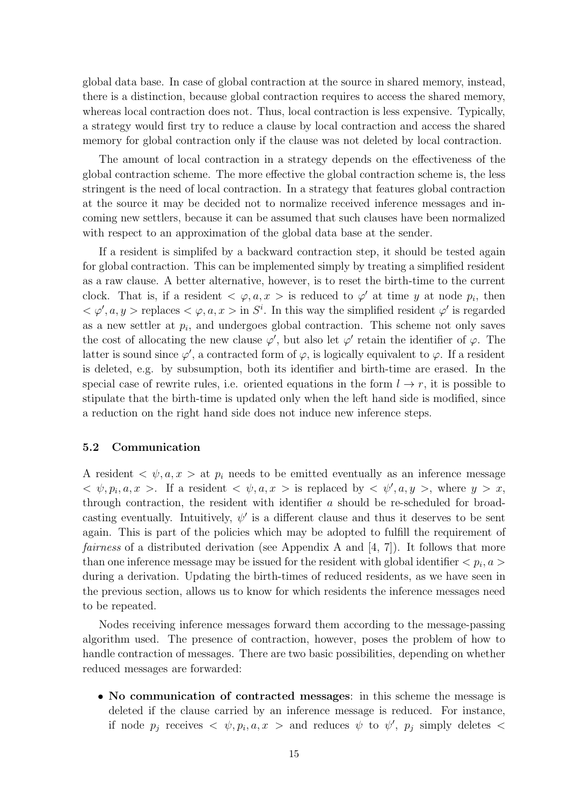global data base. In case of global contraction at the source in shared memory, instead, there is a distinction, because global contraction requires to access the shared memory, whereas local contraction does not. Thus, local contraction is less expensive. Typically, a strategy would first try to reduce a clause by local contraction and access the shared memory for global contraction only if the clause was not deleted by local contraction.

The amount of local contraction in a strategy depends on the effectiveness of the global contraction scheme. The more effective the global contraction scheme is, the less stringent is the need of local contraction. In a strategy that features global contraction at the source it may be decided not to normalize received inference messages and incoming new settlers, because it can be assumed that such clauses have been normalized with respect to an approximation of the global data base at the sender.

If a resident is simplifed by a backward contraction step, it should be tested again for global contraction. This can be implemented simply by treating a simplified resident as a raw clause. A better alternative, however, is to reset the birth-time to the current clock. That is, if a resident  $\langle \varphi, a, x \rangle$  is reduced to  $\varphi'$  at time y at node  $p_i$ , then  $<\varphi, a, y>$  replaces  $<\varphi, a, x>$  in S<sup>i</sup>. In this way the simplified resident  $\varphi'$  is regarded as a new settler at  $p_i$ , and undergoes global contraction. This scheme not only saves the cost of allocating the new clause  $\varphi'$ , but also let  $\varphi'$  retain the identifier of  $\varphi$ . The latter is sound since  $\varphi'$ , a contracted form of  $\varphi$ , is logically equivalent to  $\varphi$ . If a resident is deleted, e.g. by subsumption, both its identifier and birth-time are erased. In the special case of rewrite rules, i.e. oriented equations in the form  $l \to r$ , it is possible to stipulate that the birth-time is updated only when the left hand side is modified, since a reduction on the right hand side does not induce new inference steps.

### 5.2 Communication

A resident  $\langle \psi, a, x \rangle$  at  $p_i$  needs to be emitted eventually as an inference message  $\langle \psi, p_i, a, x \rangle$ . If a resident  $\langle \psi, a, x \rangle$  is replaced by  $\langle \psi', a, y \rangle$ , where  $y > x$ , through contraction, the resident with identifier a should be re-scheduled for broadcasting eventually. Intuitively,  $\psi'$  is a different clause and thus it deserves to be sent again. This is part of the policies which may be adopted to fulfill the requirement of *fairness* of a distributed derivation (see Appendix A and  $[4, 7]$ ). It follows that more than one inference message may be issued for the resident with global identifier  $\langle p_i, a \rangle$ during a derivation. Updating the birth-times of reduced residents, as we have seen in the previous section, allows us to know for which residents the inference messages need to be repeated.

Nodes receiving inference messages forward them according to the message-passing algorithm used. The presence of contraction, however, poses the problem of how to handle contraction of messages. There are two basic possibilities, depending on whether reduced messages are forwarded:

• No communication of contracted messages: in this scheme the message is deleted if the clause carried by an inference message is reduced. For instance, if node  $p_j$  receives  $\langle \psi, p_i, a, x \rangle$  and reduces  $\psi$  to  $\psi'$ ,  $p_j$  simply deletes  $\langle \psi \rangle$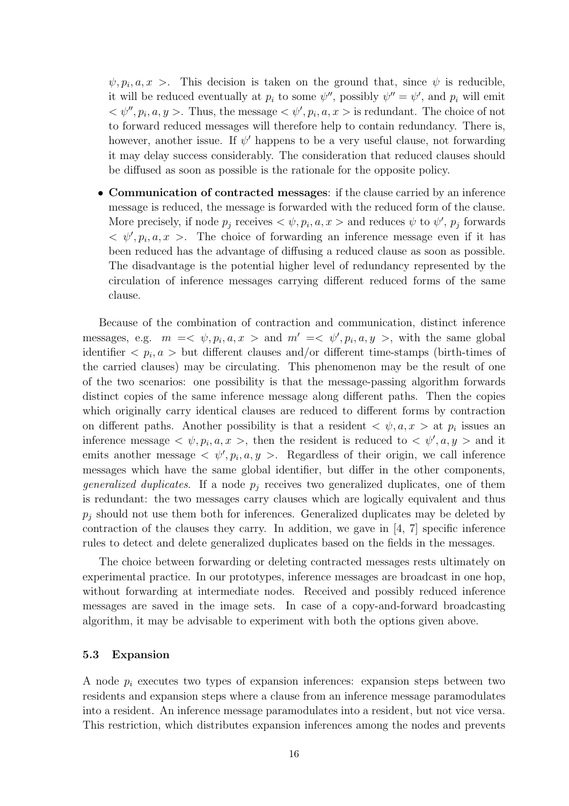$\psi, p_i, a, x >$ . This decision is taken on the ground that, since  $\psi$  is reducible, it will be reduced eventually at  $p_i$  to some  $\psi''$ , possibly  $\psi'' = \psi'$ , and  $p_i$  will emit  $\langle \psi'', p_i, a, y \rangle$ . Thus, the message  $\langle \psi', p_i, a, x \rangle$  is redundant. The choice of not to forward reduced messages will therefore help to contain redundancy. There is, however, another issue. If  $\psi'$  happens to be a very useful clause, not forwarding it may delay success considerably. The consideration that reduced clauses should be diffused as soon as possible is the rationale for the opposite policy.

• Communication of contracted messages: if the clause carried by an inference message is reduced, the message is forwarded with the reduced form of the clause. More precisely, if node  $p_j$  receives  $\langle \psi, p_i, a, x \rangle$  and reduces  $\psi$  to  $\psi'$ ,  $p_j$  forwards  $\langle \psi', p_i, a, x \rangle$ . The choice of forwarding an inference message even if it has been reduced has the advantage of diffusing a reduced clause as soon as possible. The disadvantage is the potential higher level of redundancy represented by the circulation of inference messages carrying different reduced forms of the same clause.

Because of the combination of contraction and communication, distinct inference messages, e.g.  $m = \langle \psi, p_i, a, x \rangle$  and  $m' = \langle \psi', p_i, a, y \rangle$ , with the same global identifier  $\langle p_i, a \rangle$  but different clauses and/or different time-stamps (birth-times of the carried clauses) may be circulating. This phenomenon may be the result of one of the two scenarios: one possibility is that the message-passing algorithm forwards distinct copies of the same inference message along different paths. Then the copies which originally carry identical clauses are reduced to different forms by contraction on different paths. Another possibility is that a resident  $\langle \psi, a, x \rangle$  at  $p_i$  issues an inference message  $\langle \psi, p_i, a, x \rangle$ , then the resident is reduced to  $\langle \psi', a, y \rangle$  and it emits another message  $\langle \psi', p_i, a, y \rangle$ . Regardless of their origin, we call inference messages which have the same global identifier, but differ in the other components, *generalized duplicates.* If a node  $p_j$  receives two generalized duplicates, one of them is redundant: the two messages carry clauses which are logically equivalent and thus  $p_j$  should not use them both for inferences. Generalized duplicates may be deleted by contraction of the clauses they carry. In addition, we gave in  $[4, 7]$  specific inference rules to detect and delete generalized duplicates based on the fields in the messages.

The choice between forwarding or deleting contracted messages rests ultimately on experimental practice. In our prototypes, inference messages are broadcast in one hop, without forwarding at intermediate nodes. Received and possibly reduced inference messages are saved in the image sets. In case of a copy-and-forward broadcasting algorithm, it may be advisable to experiment with both the options given above.

## 5.3 Expansion

A node  $p_i$  executes two types of expansion inferences: expansion steps between two residents and expansion steps where a clause from an inference message paramodulates into a resident. An inference message paramodulates into a resident, but not vice versa. This restriction, which distributes expansion inferences among the nodes and prevents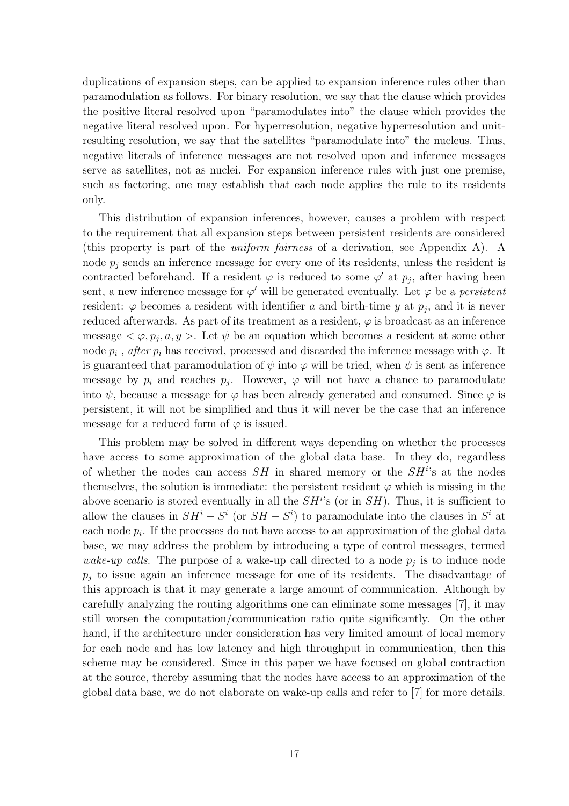duplications of expansion steps, can be applied to expansion inference rules other than paramodulation as follows. For binary resolution, we say that the clause which provides the positive literal resolved upon "paramodulates into" the clause which provides the negative literal resolved upon. For hyperresolution, negative hyperresolution and unitresulting resolution, we say that the satellites "paramodulate into" the nucleus. Thus, negative literals of inference messages are not resolved upon and inference messages serve as satellites, not as nuclei. For expansion inference rules with just one premise, such as factoring, one may establish that each node applies the rule to its residents only.

This distribution of expansion inferences, however, causes a problem with respect to the requirement that all expansion steps between persistent residents are considered (this property is part of the uniform fairness of a derivation, see Appendix A). A node  $p_j$  sends an inference message for every one of its residents, unless the resident is contracted beforehand. If a resident  $\varphi$  is reduced to some  $\varphi'$  at  $p_j$ , after having been sent, a new inference message for  $\varphi'$  will be generated eventually. Let  $\varphi$  be a *persistent* resident:  $\varphi$  becomes a resident with identifier a and birth-time y at  $p_j$ , and it is never reduced afterwards. As part of its treatment as a resident,  $\varphi$  is broadcast as an inference message  $\langle \varphi, p_j, a, y \rangle$ . Let  $\psi$  be an equation which becomes a resident at some other node  $p_i$ , after  $p_i$  has received, processed and discarded the inference message with  $\varphi$ . It is guaranteed that paramodulation of  $\psi$  into  $\varphi$  will be tried, when  $\psi$  is sent as inference message by  $p_i$  and reaches  $p_j$ . However,  $\varphi$  will not have a chance to paramodulate into  $\psi$ , because a message for  $\varphi$  has been already generated and consumed. Since  $\varphi$  is persistent, it will not be simplified and thus it will never be the case that an inference message for a reduced form of  $\varphi$  is issued.

This problem may be solved in different ways depending on whether the processes have access to some approximation of the global data base. In they do, regardless of whether the nodes can access  $SH$  in shared memory or the  $SH<sup>i</sup>$ 's at the nodes themselves, the solution is immediate: the persistent resident  $\varphi$  which is missing in the above scenario is stored eventually in all the  $SH<sup>i</sup>$ 's (or in  $SH$ ). Thus, it is sufficient to allow the clauses in  $SH^i - S^i$  (or  $SH - S^i$ ) to paramodulate into the clauses in  $S^i$  at each node  $p_i$ . If the processes do not have access to an approximation of the global data base, we may address the problem by introducing a type of control messages, termed wake-up calls. The purpose of a wake-up call directed to a node  $p_j$  is to induce node  $p_i$  to issue again an inference message for one of its residents. The disadvantage of this approach is that it may generate a large amount of communication. Although by carefully analyzing the routing algorithms one can eliminate some messages [7], it may still worsen the computation/communication ratio quite significantly. On the other hand, if the architecture under consideration has very limited amount of local memory for each node and has low latency and high throughput in communication, then this scheme may be considered. Since in this paper we have focused on global contraction at the source, thereby assuming that the nodes have access to an approximation of the global data base, we do not elaborate on wake-up calls and refer to [7] for more details.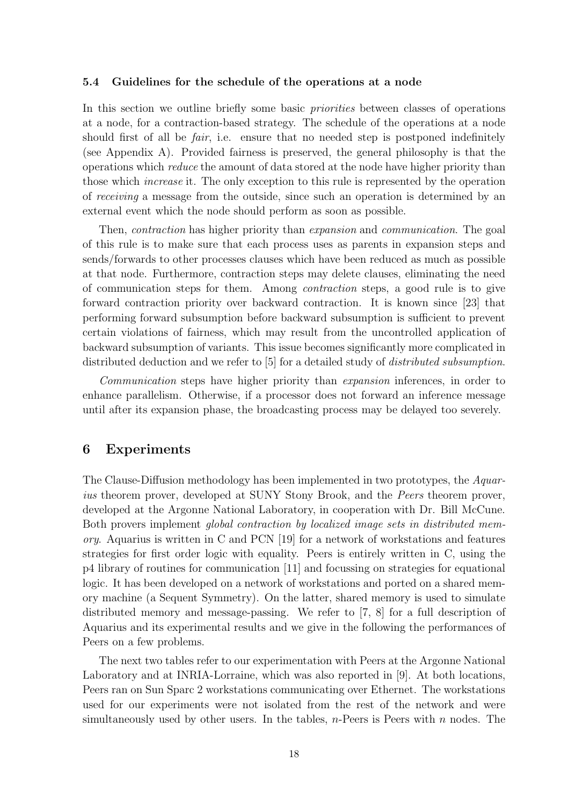#### 5.4 Guidelines for the schedule of the operations at a node

In this section we outline briefly some basic *priorities* between classes of operations at a node, for a contraction-based strategy. The schedule of the operations at a node should first of all be *fair*, i.e. ensure that no needed step is postponed indefinitely (see Appendix A). Provided fairness is preserved, the general philosophy is that the operations which reduce the amount of data stored at the node have higher priority than those which increase it. The only exception to this rule is represented by the operation of receiving a message from the outside, since such an operation is determined by an external event which the node should perform as soon as possible.

Then, *contraction* has higher priority than *expansion* and *communication*. The goal of this rule is to make sure that each process uses as parents in expansion steps and sends/forwards to other processes clauses which have been reduced as much as possible at that node. Furthermore, contraction steps may delete clauses, eliminating the need of communication steps for them. Among contraction steps, a good rule is to give forward contraction priority over backward contraction. It is known since [23] that performing forward subsumption before backward subsumption is sufficient to prevent certain violations of fairness, which may result from the uncontrolled application of backward subsumption of variants. This issue becomes significantly more complicated in distributed deduction and we refer to [5] for a detailed study of *distributed subsumption*.

Communication steps have higher priority than expansion inferences, in order to enhance parallelism. Otherwise, if a processor does not forward an inference message until after its expansion phase, the broadcasting process may be delayed too severely.

# 6 Experiments

The Clause-Diffusion methodology has been implemented in two prototypes, the Aquarius theorem prover, developed at SUNY Stony Brook, and the *Peers* theorem prover, developed at the Argonne National Laboratory, in cooperation with Dr. Bill McCune. Both provers implement global contraction by localized image sets in distributed mem*ory.* Aquarius is written in C and PCN  $[19]$  for a network of workstations and features strategies for first order logic with equality. Peers is entirely written in C, using the p4 library of routines for communication [11] and focussing on strategies for equational logic. It has been developed on a network of workstations and ported on a shared memory machine (a Sequent Symmetry). On the latter, shared memory is used to simulate distributed memory and message-passing. We refer to [7, 8] for a full description of Aquarius and its experimental results and we give in the following the performances of Peers on a few problems.

The next two tables refer to our experimentation with Peers at the Argonne National Laboratory and at INRIA-Lorraine, which was also reported in [9]. At both locations, Peers ran on Sun Sparc 2 workstations communicating over Ethernet. The workstations used for our experiments were not isolated from the rest of the network and were simultaneously used by other users. In the tables,  $n$ -Peers is Peers with  $n$  nodes. The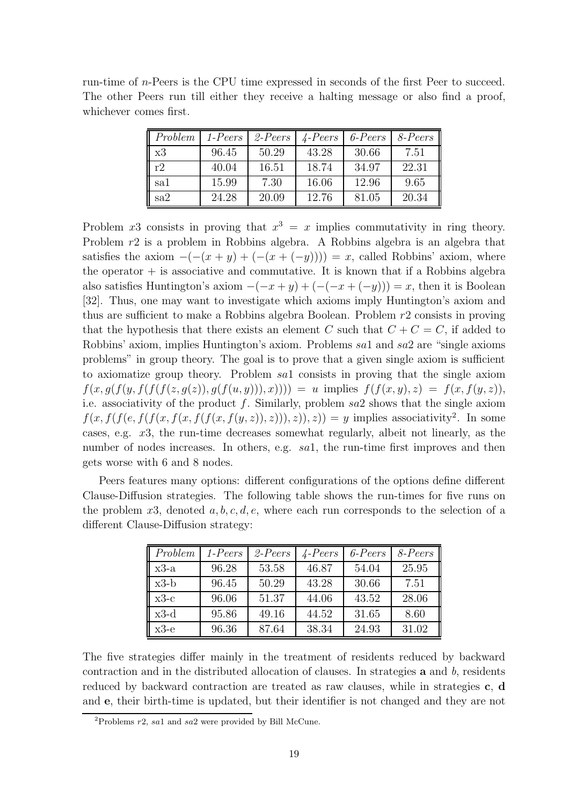|  |                        |  |  |  | run-time of <i>n</i> -Peers is the CPU time expressed in seconds of the first Peer to succeed. |  |  |  |
|--|------------------------|--|--|--|------------------------------------------------------------------------------------------------|--|--|--|
|  |                        |  |  |  | The other Peers run till either they receive a halting message or also find a proof,           |  |  |  |
|  | whichever comes first. |  |  |  |                                                                                                |  |  |  |

| Problem | 1-Peers | $2-Peers$ | $\angle$ -Peers | $6$ -Peers | 8-Peers |
|---------|---------|-----------|-----------------|------------|---------|
| x3      | 96.45   | 50.29     | 43.28           | 30.66      | 7.51    |
| r2      | 40.04   | 16.51     | 18.74           | 34.97      | 22.31   |
| sa1     | 15.99   | 7.30      | 16.06           | 12.96      | 9.65    |
| sa2     | 24.28   | 20.09     | 12.76           | 81.05      | 20.34   |

Problem x3 consists in proving that  $x^3 = x$  implies commutativity in ring theory. Problem r2 is a problem in Robbins algebra. A Robbins algebra is an algebra that satisfies the axiom  $-(-x + y) + (-x + (-y))) = x$ , called Robbins' axiom, where the operator  $+$  is associative and commutative. It is known that if a Robbins algebra also satisfies Huntington's axiom  $-(-x + y) + (-(x + (-y))) = x$ , then it is Boolean [32]. Thus, one may want to investigate which axioms imply Huntington's axiom and thus are sufficient to make a Robbins algebra Boolean. Problem r2 consists in proving that the hypothesis that there exists an element C such that  $C + C = C$ , if added to Robbins' axiom, implies Huntington's axiom. Problems sa1 and sa2 are "single axioms problems" in group theory. The goal is to prove that a given single axiom is sufficient to axiomatize group theory. Problem sa1 consists in proving that the single axiom  $f(x, g(f(y, f(f(f(z, g(z)), g(f(u, y))), x)))) = u$  implies  $f(f(x, y), z) = f(x, f(y, z)),$ i.e. associativity of the product f. Similarly, problem  $sa2$  shows that the single axiom  $f(x, f(f(e, f(f(x, f(x, f(f(x, f(y, z)), z))), z)) = y$  implies associativity<sup>2</sup>. In some cases, e.g. x3, the run-time decreases somewhat regularly, albeit not linearly, as the number of nodes increases. In others, e.g. sal, the run-time first improves and then gets worse with 6 and 8 nodes.

Peers features many options: different configurations of the options define different Clause-Diffusion strategies. The following table shows the run-times for five runs on the problem x3, denoted a, b, c, d, e, where each run corresponds to the selection of a different Clause-Diffusion strategy:

| Problem | $1-Peers$ | $2-Peers$ | $\angle$ -Peers | $6$ -Peers | $8$ -Peers |
|---------|-----------|-----------|-----------------|------------|------------|
| $x3-a$  | 96.28     | 53.58     | 46.87           | 54.04      | 25.95      |
| $x3-b$  | 96.45     | 50.29     | 43.28           | 30.66      | 7.51       |
| $x3-c$  | 96.06     | 51.37     | 44.06           | 43.52      | 28.06      |
| $x3-d$  | 95.86     | 49.16     | 44.52           | 31.65      | 8.60       |
| $x3-e$  | 96.36     | 87.64     | 38.34           | 24.93      | 31.02      |

The five strategies differ mainly in the treatment of residents reduced by backward contraction and in the distributed allocation of clauses. In strategies  $\bf{a}$  and  $\bf{b}$ , residents reduced by backward contraction are treated as raw clauses, while in strategies c, d and e, their birth-time is updated, but their identifier is not changed and they are not

<sup>&</sup>lt;sup>2</sup>Problems  $r2$ , sa1 and sa2 were provided by Bill McCune.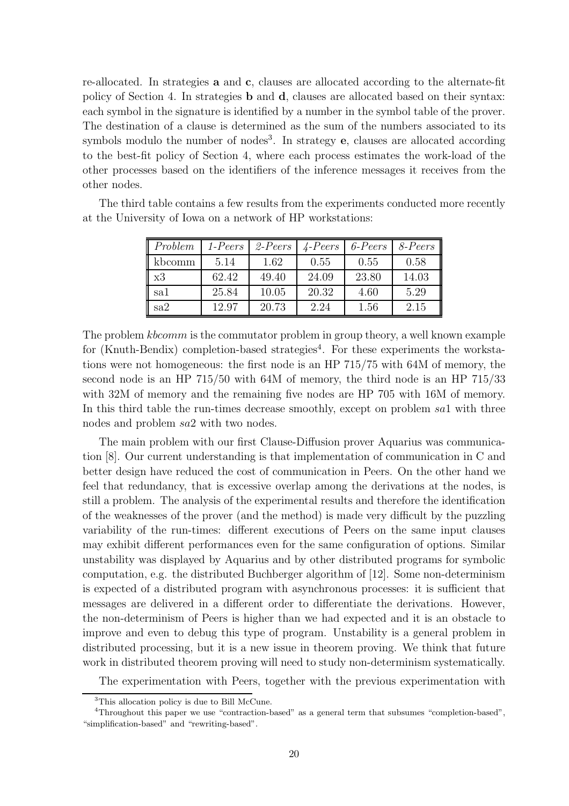re-allocated. In strategies a and c, clauses are allocated according to the alternate-fit policy of Section 4. In strategies b and d, clauses are allocated based on their syntax: each symbol in the signature is identified by a number in the symbol table of the prover. The destination of a clause is determined as the sum of the numbers associated to its symbols modulo the number of nodes<sup>3</sup>. In strategy  $e$ , clauses are allocated according to the best-fit policy of Section 4, where each process estimates the work-load of the other processes based on the identifiers of the inference messages it receives from the other nodes.

| Problem | $1-Peers$ | $2-Peers$ | $\angle$ -Peers | $6$ -Peers | 8-Peers |
|---------|-----------|-----------|-----------------|------------|---------|
| kbcomm  | 5.14      | 1.62      | 0.55            | 0.55       | 0.58    |
| x3      | 62.42     | 49.40     | 24.09           | 23.80      | 14.03   |
| sa1     | 25.84     | 10.05     | 20.32           | 4.60       | 5.29    |
| sa2     | 12.97     | 20.73     | 2.24            | 1.56       | 2.15    |

The third table contains a few results from the experiments conducted more recently at the University of Iowa on a network of HP workstations:

The problem *kbcomm* is the commutator problem in group theory, a well known example for (Knuth-Bendix) completion-based strategies<sup>4</sup>. For these experiments the workstations were not homogeneous: the first node is an HP 715/75 with 64M of memory, the second node is an HP 715/50 with 64M of memory, the third node is an HP 715/33 with 32M of memory and the remaining five nodes are HP 705 with 16M of memory. In this third table the run-times decrease smoothly, except on problem sal with three nodes and problem sa2 with two nodes.

The main problem with our first Clause-Diffusion prover Aquarius was communication [8]. Our current understanding is that implementation of communication in C and better design have reduced the cost of communication in Peers. On the other hand we feel that redundancy, that is excessive overlap among the derivations at the nodes, is still a problem. The analysis of the experimental results and therefore the identification of the weaknesses of the prover (and the method) is made very difficult by the puzzling variability of the run-times: different executions of Peers on the same input clauses may exhibit different performances even for the same configuration of options. Similar unstability was displayed by Aquarius and by other distributed programs for symbolic computation, e.g. the distributed Buchberger algorithm of [12]. Some non-determinism is expected of a distributed program with asynchronous processes: it is sufficient that messages are delivered in a different order to differentiate the derivations. However, the non-determinism of Peers is higher than we had expected and it is an obstacle to improve and even to debug this type of program. Unstability is a general problem in distributed processing, but it is a new issue in theorem proving. We think that future work in distributed theorem proving will need to study non-determinism systematically.

The experimentation with Peers, together with the previous experimentation with

<sup>&</sup>lt;sup>3</sup>This allocation policy is due to Bill McCune.

<sup>4</sup>Throughout this paper we use "contraction-based" as a general term that subsumes "completion-based", "simplification-based" and "rewriting-based".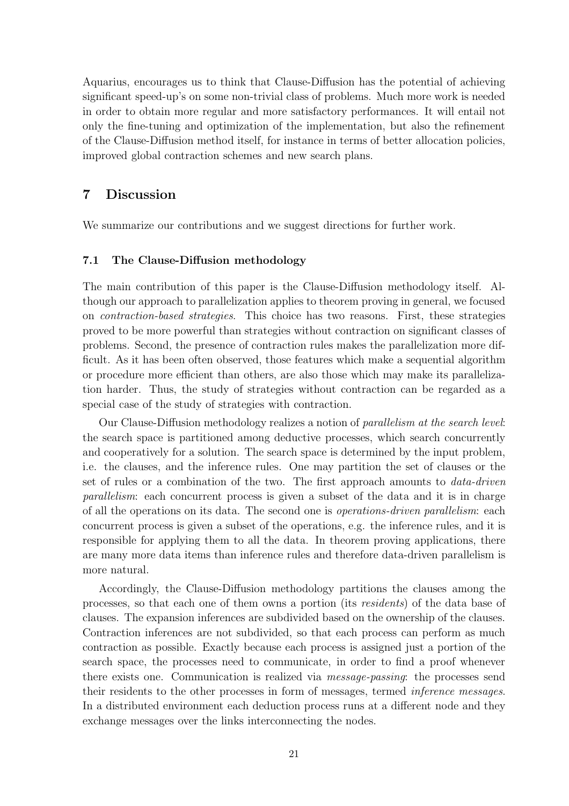Aquarius, encourages us to think that Clause-Diffusion has the potential of achieving significant speed-up's on some non-trivial class of problems. Much more work is needed in order to obtain more regular and more satisfactory performances. It will entail not only the fine-tuning and optimization of the implementation, but also the refinement of the Clause-Diffusion method itself, for instance in terms of better allocation policies, improved global contraction schemes and new search plans.

# 7 Discussion

We summarize our contributions and we suggest directions for further work.

## 7.1 The Clause-Diffusion methodology

The main contribution of this paper is the Clause-Diffusion methodology itself. Although our approach to parallelization applies to theorem proving in general, we focused on contraction-based strategies. This choice has two reasons. First, these strategies proved to be more powerful than strategies without contraction on significant classes of problems. Second, the presence of contraction rules makes the parallelization more difficult. As it has been often observed, those features which make a sequential algorithm or procedure more efficient than others, are also those which may make its parallelization harder. Thus, the study of strategies without contraction can be regarded as a special case of the study of strategies with contraction.

Our Clause-Diffusion methodology realizes a notion of parallelism at the search level: the search space is partitioned among deductive processes, which search concurrently and cooperatively for a solution. The search space is determined by the input problem, i.e. the clauses, and the inference rules. One may partition the set of clauses or the set of rules or a combination of the two. The first approach amounts to data-driven parallelism: each concurrent process is given a subset of the data and it is in charge of all the operations on its data. The second one is operations-driven parallelism: each concurrent process is given a subset of the operations, e.g. the inference rules, and it is responsible for applying them to all the data. In theorem proving applications, there are many more data items than inference rules and therefore data-driven parallelism is more natural.

Accordingly, the Clause-Diffusion methodology partitions the clauses among the processes, so that each one of them owns a portion (its residents) of the data base of clauses. The expansion inferences are subdivided based on the ownership of the clauses. Contraction inferences are not subdivided, so that each process can perform as much contraction as possible. Exactly because each process is assigned just a portion of the search space, the processes need to communicate, in order to find a proof whenever there exists one. Communication is realized via message-passing: the processes send their residents to the other processes in form of messages, termed inference messages. In a distributed environment each deduction process runs at a different node and they exchange messages over the links interconnecting the nodes.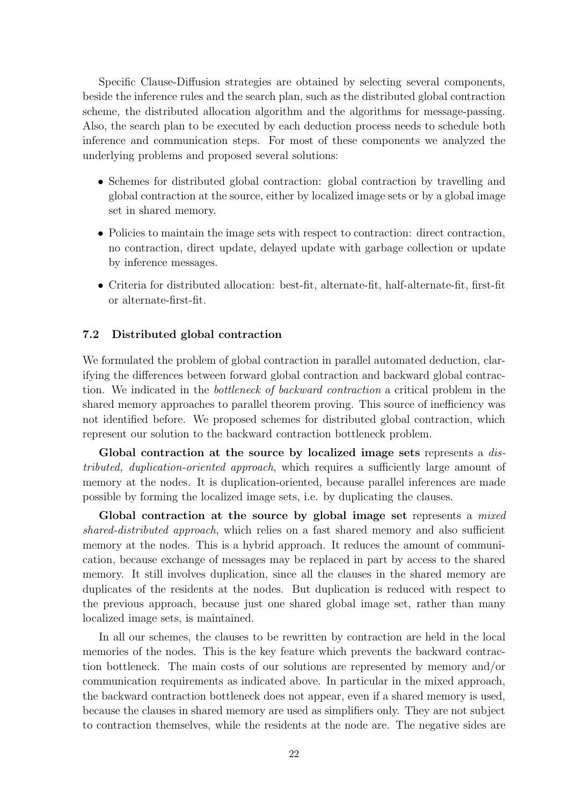Specific Clause-Diffusion strategies are obtained by selecting several components, beside the inference rules and the search plan, such as the distributed global contraction scheme, the distributed allocation algorithm and the algorithms for message-passing. Also, the search plan to be executed by each deduction process needs to schedule both inference and communication steps. For most of these components we analyzed the underlying problems and proposed several solutions:

- Schemes for distributed global contraction: global contraction by travelling and global contraction at the source, either by localized image sets or by a global image set in shared memory.
- Policies to maintain the image sets with respect to contraction: direct contraction, no contraction, direct update, delayed update with garbage collection or update by inference messages.
- Criteria for distributed allocation: best-fit, alternate-fit, half-alternate-fit, first-fit or alternate-first-fit.

# 7.2 Distributed global contraction

We formulated the problem of global contraction in parallel automated deduction, clarifying the differences between forward global contraction and backward global contraction. We indicated in the bottleneck of backward contraction a critical problem in the shared memory approaches to parallel theorem proving. This source of inefficiency was not identified before. We proposed schemes for distributed global contraction, which represent our solution to the backward contraction bottleneck problem.

Global contraction at the source by localized image sets represents a *dis*tributed, duplication-oriented approach, which requires a sufficiently large amount of memory at the nodes. It is duplication-oriented, because parallel inferences are made possible by forming the localized image sets, i.e. by duplicating the clauses.

Global contraction at the source by global image set represents a mixed shared-distributed approach, which relies on a fast shared memory and also sufficient memory at the nodes. This is a hybrid approach. It reduces the amount of communication, because exchange of messages may be replaced in part by access to the shared memory. It still involves duplication, since all the clauses in the shared memory are duplicates of the residents at the nodes. But duplication is reduced with respect to the previous approach, because just one shared global image set, rather than many localized image sets, is maintained.

In all our schemes, the clauses to be rewritten by contraction are held in the local memories of the nodes. This is the key feature which prevents the backward contraction bottleneck. The main costs of our solutions are represented by memory and/or communication requirements as indicated above. In particular in the mixed approach, the backward contraction bottleneck does not appear, even if a shared memory is used, because the clauses in shared memory are used as simplifiers only. They are not subject to contraction themselves, while the residents at the node are. The negative sides are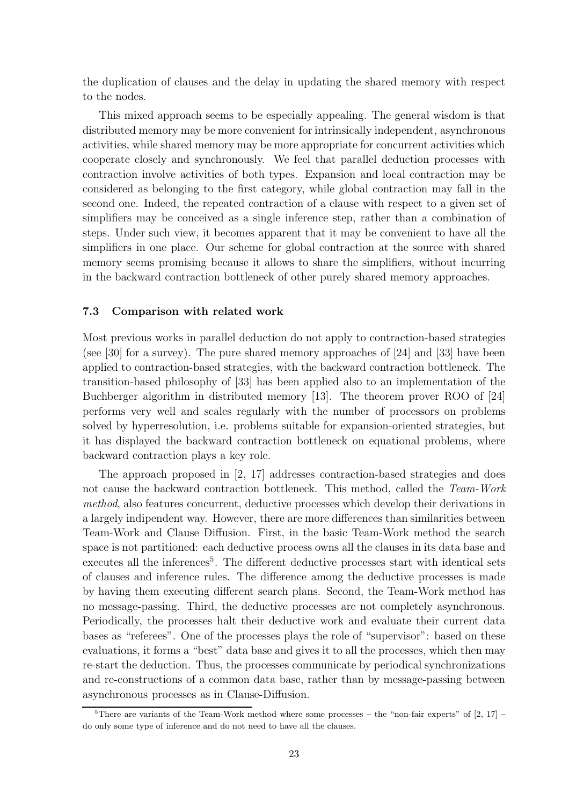the duplication of clauses and the delay in updating the shared memory with respect to the nodes.

This mixed approach seems to be especially appealing. The general wisdom is that distributed memory may be more convenient for intrinsically independent, asynchronous activities, while shared memory may be more appropriate for concurrent activities which cooperate closely and synchronously. We feel that parallel deduction processes with contraction involve activities of both types. Expansion and local contraction may be considered as belonging to the first category, while global contraction may fall in the second one. Indeed, the repeated contraction of a clause with respect to a given set of simplifiers may be conceived as a single inference step, rather than a combination of steps. Under such view, it becomes apparent that it may be convenient to have all the simplifiers in one place. Our scheme for global contraction at the source with shared memory seems promising because it allows to share the simplifiers, without incurring in the backward contraction bottleneck of other purely shared memory approaches.

## 7.3 Comparison with related work

Most previous works in parallel deduction do not apply to contraction-based strategies (see [30] for a survey). The pure shared memory approaches of [24] and [33] have been applied to contraction-based strategies, with the backward contraction bottleneck. The transition-based philosophy of [33] has been applied also to an implementation of the Buchberger algorithm in distributed memory [13]. The theorem prover ROO of [24] performs very well and scales regularly with the number of processors on problems solved by hyperresolution, i.e. problems suitable for expansion-oriented strategies, but it has displayed the backward contraction bottleneck on equational problems, where backward contraction plays a key role.

The approach proposed in [2, 17] addresses contraction-based strategies and does not cause the backward contraction bottleneck. This method, called the Team-Work method, also features concurrent, deductive processes which develop their derivations in a largely indipendent way. However, there are more differences than similarities between Team-Work and Clause Diffusion. First, in the basic Team-Work method the search space is not partitioned: each deductive process owns all the clauses in its data base and executes all the inferences<sup>5</sup>. The different deductive processes start with identical sets of clauses and inference rules. The difference among the deductive processes is made by having them executing different search plans. Second, the Team-Work method has no message-passing. Third, the deductive processes are not completely asynchronous. Periodically, the processes halt their deductive work and evaluate their current data bases as "referees". One of the processes plays the role of "supervisor": based on these evaluations, it forms a "best" data base and gives it to all the processes, which then may re-start the deduction. Thus, the processes communicate by periodical synchronizations and re-constructions of a common data base, rather than by message-passing between asynchronous processes as in Clause-Diffusion.

 $\overline{5}$ There are variants of the Team-Work method where some processes – the "non-fair experts" of [2, 17] – do only some type of inference and do not need to have all the clauses.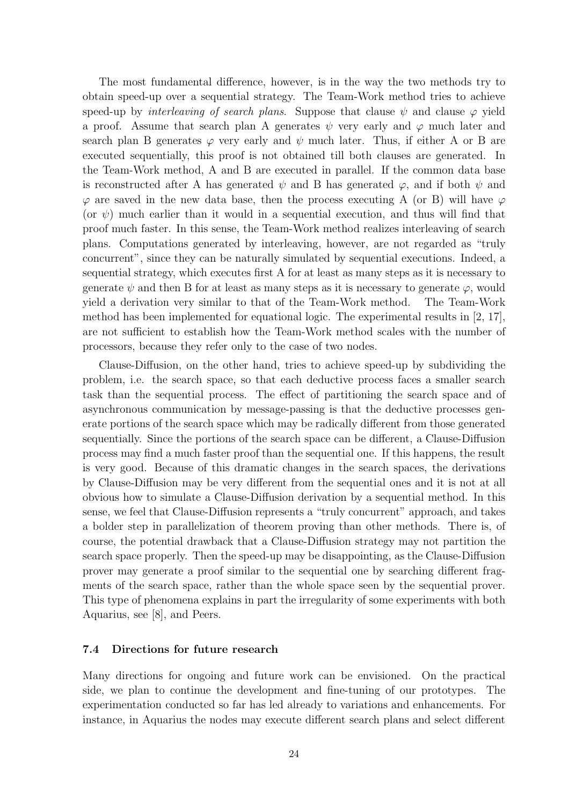The most fundamental difference, however, is in the way the two methods try to obtain speed-up over a sequential strategy. The Team-Work method tries to achieve speed-up by *interleaving of search plans.* Suppose that clause  $\psi$  and clause  $\varphi$  yield a proof. Assume that search plan A generates  $\psi$  very early and  $\varphi$  much later and search plan B generates  $\varphi$  very early and  $\psi$  much later. Thus, if either A or B are executed sequentially, this proof is not obtained till both clauses are generated. In the Team-Work method, A and B are executed in parallel. If the common data base is reconstructed after A has generated  $\psi$  and B has generated  $\varphi$ , and if both  $\psi$  and  $\varphi$  are saved in the new data base, then the process executing A (or B) will have  $\varphi$ (or  $\psi$ ) much earlier than it would in a sequential execution, and thus will find that proof much faster. In this sense, the Team-Work method realizes interleaving of search plans. Computations generated by interleaving, however, are not regarded as "truly concurrent", since they can be naturally simulated by sequential executions. Indeed, a sequential strategy, which executes first A for at least as many steps as it is necessary to generate  $\psi$  and then B for at least as many steps as it is necessary to generate  $\varphi$ , would yield a derivation very similar to that of the Team-Work method. The Team-Work method has been implemented for equational logic. The experimental results in  $\vert 2, 17 \vert$ , are not sufficient to establish how the Team-Work method scales with the number of processors, because they refer only to the case of two nodes.

Clause-Diffusion, on the other hand, tries to achieve speed-up by subdividing the problem, i.e. the search space, so that each deductive process faces a smaller search task than the sequential process. The effect of partitioning the search space and of asynchronous communication by message-passing is that the deductive processes generate portions of the search space which may be radically different from those generated sequentially. Since the portions of the search space can be different, a Clause-Diffusion process may find a much faster proof than the sequential one. If this happens, the result is very good. Because of this dramatic changes in the search spaces, the derivations by Clause-Diffusion may be very different from the sequential ones and it is not at all obvious how to simulate a Clause-Diffusion derivation by a sequential method. In this sense, we feel that Clause-Diffusion represents a "truly concurrent" approach, and takes a bolder step in parallelization of theorem proving than other methods. There is, of course, the potential drawback that a Clause-Diffusion strategy may not partition the search space properly. Then the speed-up may be disappointing, as the Clause-Diffusion prover may generate a proof similar to the sequential one by searching different fragments of the search space, rather than the whole space seen by the sequential prover. This type of phenomena explains in part the irregularity of some experiments with both Aquarius, see [8], and Peers.

## 7.4 Directions for future research

Many directions for ongoing and future work can be envisioned. On the practical side, we plan to continue the development and fine-tuning of our prototypes. The experimentation conducted so far has led already to variations and enhancements. For instance, in Aquarius the nodes may execute different search plans and select different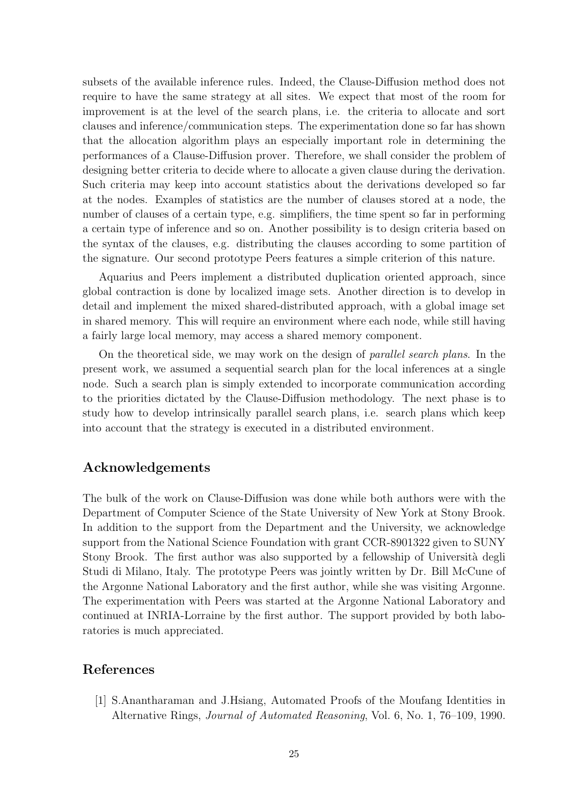subsets of the available inference rules. Indeed, the Clause-Diffusion method does not require to have the same strategy at all sites. We expect that most of the room for improvement is at the level of the search plans, i.e. the criteria to allocate and sort clauses and inference/communication steps. The experimentation done so far has shown that the allocation algorithm plays an especially important role in determining the performances of a Clause-Diffusion prover. Therefore, we shall consider the problem of designing better criteria to decide where to allocate a given clause during the derivation. Such criteria may keep into account statistics about the derivations developed so far at the nodes. Examples of statistics are the number of clauses stored at a node, the number of clauses of a certain type, e.g. simplifiers, the time spent so far in performing a certain type of inference and so on. Another possibility is to design criteria based on the syntax of the clauses, e.g. distributing the clauses according to some partition of the signature. Our second prototype Peers features a simple criterion of this nature.

Aquarius and Peers implement a distributed duplication oriented approach, since global contraction is done by localized image sets. Another direction is to develop in detail and implement the mixed shared-distributed approach, with a global image set in shared memory. This will require an environment where each node, while still having a fairly large local memory, may access a shared memory component.

On the theoretical side, we may work on the design of parallel search plans. In the present work, we assumed a sequential search plan for the local inferences at a single node. Such a search plan is simply extended to incorporate communication according to the priorities dictated by the Clause-Diffusion methodology. The next phase is to study how to develop intrinsically parallel search plans, i.e. search plans which keep into account that the strategy is executed in a distributed environment.

# Acknowledgements

The bulk of the work on Clause-Diffusion was done while both authors were with the Department of Computer Science of the State University of New York at Stony Brook. In addition to the support from the Department and the University, we acknowledge support from the National Science Foundation with grant CCR-8901322 given to SUNY Stony Brook. The first author was also supported by a fellowship of Università degli Studi di Milano, Italy. The prototype Peers was jointly written by Dr. Bill McCune of the Argonne National Laboratory and the first author, while she was visiting Argonne. The experimentation with Peers was started at the Argonne National Laboratory and continued at INRIA-Lorraine by the first author. The support provided by both laboratories is much appreciated.

# References

[1] S.Anantharaman and J.Hsiang, Automated Proofs of the Moufang Identities in Alternative Rings, Journal of Automated Reasoning, Vol. 6, No. 1, 76–109, 1990.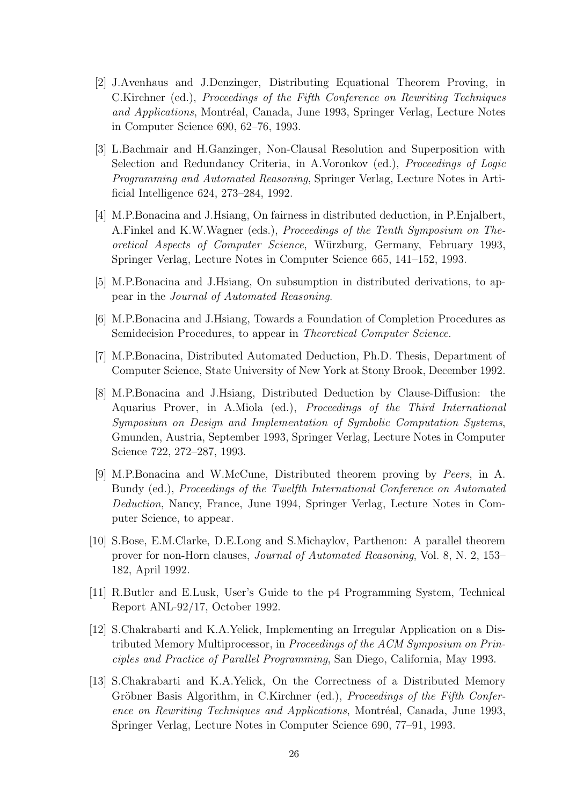- [2] J.Avenhaus and J.Denzinger, Distributing Equational Theorem Proving, in C.Kirchner (ed.), Proceedings of the Fifth Conference on Rewriting Techniques and Applications, Montréal, Canada, June 1993, Springer Verlag, Lecture Notes in Computer Science 690, 62–76, 1993.
- [3] L.Bachmair and H.Ganzinger, Non-Clausal Resolution and Superposition with Selection and Redundancy Criteria, in A.Voronkov (ed.), Proceedings of Logic Programming and Automated Reasoning, Springer Verlag, Lecture Notes in Artificial Intelligence 624, 273–284, 1992.
- [4] M.P.Bonacina and J.Hsiang, On fairness in distributed deduction, in P.Enjalbert, A.Finkel and K.W.Wagner (eds.), Proceedings of the Tenth Symposium on Theoretical Aspects of Computer Science, W¨urzburg, Germany, February 1993, Springer Verlag, Lecture Notes in Computer Science 665, 141–152, 1993.
- [5] M.P.Bonacina and J.Hsiang, On subsumption in distributed derivations, to appear in the Journal of Automated Reasoning.
- [6] M.P.Bonacina and J.Hsiang, Towards a Foundation of Completion Procedures as Semidecision Procedures, to appear in *Theoretical Computer Science*.
- [7] M.P.Bonacina, Distributed Automated Deduction, Ph.D. Thesis, Department of Computer Science, State University of New York at Stony Brook, December 1992.
- [8] M.P.Bonacina and J.Hsiang, Distributed Deduction by Clause-Diffusion: the Aquarius Prover, in A.Miola (ed.), Proceedings of the Third International Symposium on Design and Implementation of Symbolic Computation Systems, Gmunden, Austria, September 1993, Springer Verlag, Lecture Notes in Computer Science 722, 272–287, 1993.
- [9] M.P.Bonacina and W.McCune, Distributed theorem proving by Peers, in A. Bundy (ed.), Proceedings of the Twelfth International Conference on Automated Deduction, Nancy, France, June 1994, Springer Verlag, Lecture Notes in Computer Science, to appear.
- [10] S.Bose, E.M.Clarke, D.E.Long and S.Michaylov, Parthenon: A parallel theorem prover for non-Horn clauses, Journal of Automated Reasoning, Vol. 8, N. 2, 153– 182, April 1992.
- [11] R.Butler and E.Lusk, User's Guide to the p4 Programming System, Technical Report ANL-92/17, October 1992.
- [12] S.Chakrabarti and K.A.Yelick, Implementing an Irregular Application on a Distributed Memory Multiprocessor, in Proceedings of the ACM Symposium on Principles and Practice of Parallel Programming, San Diego, California, May 1993.
- [13] S.Chakrabarti and K.A.Yelick, On the Correctness of a Distributed Memory Gröbner Basis Algorithm, in C.Kirchner (ed.), Proceedings of the Fifth Conference on Rewriting Techniques and Applications, Montréal, Canada, June 1993, Springer Verlag, Lecture Notes in Computer Science 690, 77–91, 1993.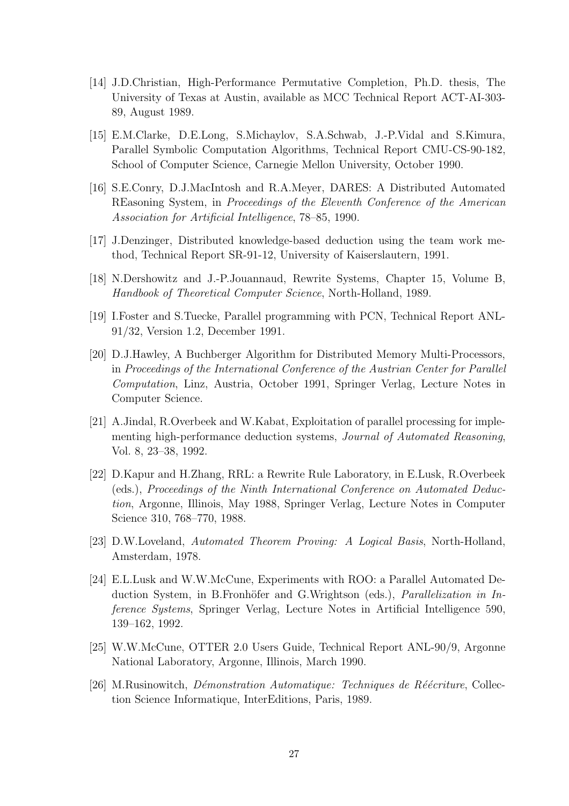- [14] J.D.Christian, High-Performance Permutative Completion, Ph.D. thesis, The University of Texas at Austin, available as MCC Technical Report ACT-AI-303- 89, August 1989.
- [15] E.M.Clarke, D.E.Long, S.Michaylov, S.A.Schwab, J.-P.Vidal and S.Kimura, Parallel Symbolic Computation Algorithms, Technical Report CMU-CS-90-182, School of Computer Science, Carnegie Mellon University, October 1990.
- [16] S.E.Conry, D.J.MacIntosh and R.A.Meyer, DARES: A Distributed Automated REasoning System, in Proceedings of the Eleventh Conference of the American Association for Artificial Intelligence, 78–85, 1990.
- [17] J.Denzinger, Distributed knowledge-based deduction using the team work method, Technical Report SR-91-12, University of Kaiserslautern, 1991.
- [18] N.Dershowitz and J.-P.Jouannaud, Rewrite Systems, Chapter 15, Volume B, Handbook of Theoretical Computer Science, North-Holland, 1989.
- [19] I.Foster and S.Tuecke, Parallel programming with PCN, Technical Report ANL-91/32, Version 1.2, December 1991.
- [20] D.J.Hawley, A Buchberger Algorithm for Distributed Memory Multi-Processors, in Proceedings of the International Conference of the Austrian Center for Parallel Computation, Linz, Austria, October 1991, Springer Verlag, Lecture Notes in Computer Science.
- [21] A.Jindal, R.Overbeek and W.Kabat, Exploitation of parallel processing for implementing high-performance deduction systems, Journal of Automated Reasoning, Vol. 8, 23–38, 1992.
- [22] D.Kapur and H.Zhang, RRL: a Rewrite Rule Laboratory, in E.Lusk, R.Overbeek (eds.), Proceedings of the Ninth International Conference on Automated Deduction, Argonne, Illinois, May 1988, Springer Verlag, Lecture Notes in Computer Science 310, 768–770, 1988.
- [23] D.W.Loveland, Automated Theorem Proving: A Logical Basis, North-Holland, Amsterdam, 1978.
- [24] E.L.Lusk and W.W.McCune, Experiments with ROO: a Parallel Automated Deduction System, in B.Fronhöfer and G.Wrightson (eds.), *Parallelization in In*ference Systems, Springer Verlag, Lecture Notes in Artificial Intelligence 590, 139–162, 1992.
- [25] W.W.McCune, OTTER 2.0 Users Guide, Technical Report ANL-90/9, Argonne National Laboratory, Argonne, Illinois, March 1990.
- [26] M.Rusinowitch, *Démonstration Automatique: Techniques de Réécriture*, Collection Science Informatique, InterEditions, Paris, 1989.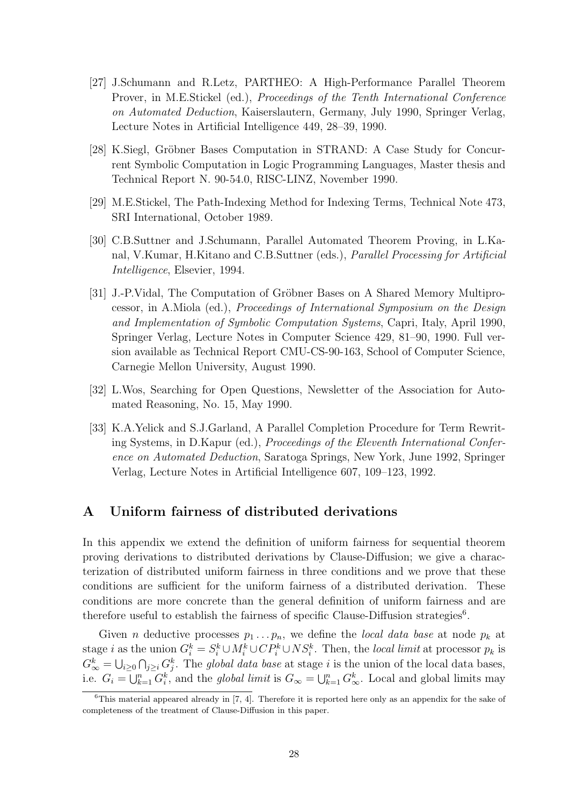- [27] J.Schumann and R.Letz, PARTHEO: A High-Performance Parallel Theorem Prover, in M.E.Stickel (ed.), Proceedings of the Tenth International Conference on Automated Deduction, Kaiserslautern, Germany, July 1990, Springer Verlag, Lecture Notes in Artificial Intelligence 449, 28–39, 1990.
- [28] K.Siegl, Gröbner Bases Computation in STRAND: A Case Study for Concurrent Symbolic Computation in Logic Programming Languages, Master thesis and Technical Report N. 90-54.0, RISC-LINZ, November 1990.
- [29] M.E.Stickel, The Path-Indexing Method for Indexing Terms, Technical Note 473, SRI International, October 1989.
- [30] C.B.Suttner and J.Schumann, Parallel Automated Theorem Proving, in L.Kanal, V.Kumar, H.Kitano and C.B.Suttner (eds.), Parallel Processing for Artificial Intelligence, Elsevier, 1994.
- [31] J.-P. Vidal, The Computation of Gröbner Bases on A Shared Memory Multiprocessor, in A.Miola (ed.), Proceedings of International Symposium on the Design and Implementation of Symbolic Computation Systems, Capri, Italy, April 1990, Springer Verlag, Lecture Notes in Computer Science 429, 81–90, 1990. Full version available as Technical Report CMU-CS-90-163, School of Computer Science, Carnegie Mellon University, August 1990.
- [32] L.Wos, Searching for Open Questions, Newsletter of the Association for Automated Reasoning, No. 15, May 1990.
- [33] K.A.Yelick and S.J.Garland, A Parallel Completion Procedure for Term Rewriting Systems, in D.Kapur (ed.), Proceedings of the Eleventh International Conference on Automated Deduction, Saratoga Springs, New York, June 1992, Springer Verlag, Lecture Notes in Artificial Intelligence 607, 109–123, 1992.

# A Uniform fairness of distributed derivations

In this appendix we extend the definition of uniform fairness for sequential theorem proving derivations to distributed derivations by Clause-Diffusion; we give a characterization of distributed uniform fairness in three conditions and we prove that these conditions are sufficient for the uniform fairness of a distributed derivation. These conditions are more concrete than the general definition of uniform fairness and are therefore useful to establish the fairness of specific Clause-Diffusion strategies<sup>6</sup>.

Given *n* deductive processes  $p_1 \ldots p_n$ , we define the *local data base* at node  $p_k$  at stage *i* as the union  $G_i^k = S_i^k \cup M_i^k \cup CP_i^k \cup NS_i^k$ . Then, the *local limit* at processor  $p_k$  is  $G_{\infty}^{k} = \bigcup_{i \geq 0} \bigcap_{j \geq i} G_{j}^{k}$ . The global data base at stage i is the union of the local data bases, i.e.  $G_i = \bigcup_{k=1}^n G_i^k$ , and the *global limit* is  $G_\infty = \bigcup_{k=1}^n G_\infty^k$ . Local and global limits may

 ${}^{6}$ This material appeared already in [7, 4]. Therefore it is reported here only as an appendix for the sake of completeness of the treatment of Clause-Diffusion in this paper.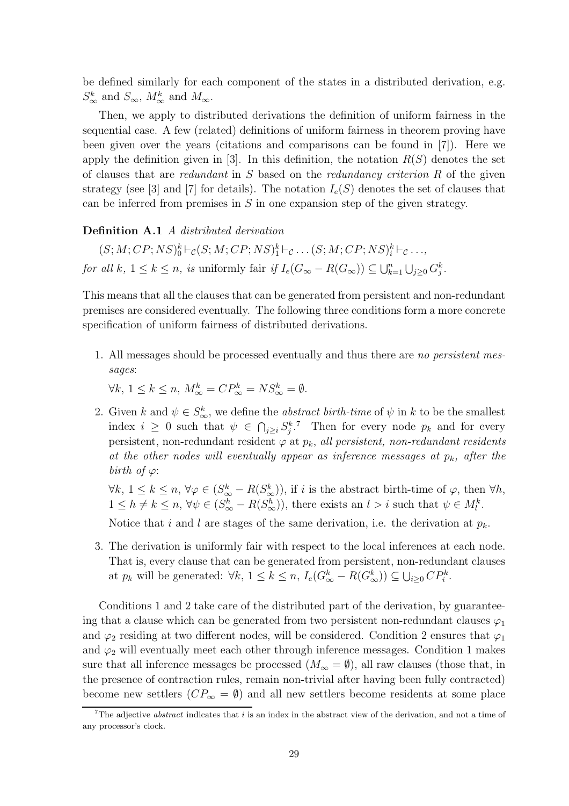be defined similarly for each component of the states in a distributed derivation, e.g.  $S^k_{\infty}$  and  $S_{\infty}$ ,  $M^k_{\infty}$  and  $M_{\infty}$ .

Then, we apply to distributed derivations the definition of uniform fairness in the sequential case. A few (related) definitions of uniform fairness in theorem proving have been given over the years (citations and comparisons can be found in [7]). Here we apply the definition given in [3]. In this definition, the notation  $R(S)$  denotes the set of clauses that are *redundant* in S based on the *redundancy criterion*  $R$  of the given strategy (see [3] and [7] for details). The notation  $I_e(S)$  denotes the set of clauses that can be inferred from premises in  $S$  in one expansion step of the given strategy.

### Definition A.1 A distributed derivation

 $(S; M; CP; NS)_0^k \vdash_{\mathcal{C}} (S; M; CP; NS)_1^k \vdash_{\mathcal{C}} \ldots (S; M; CP; NS)_i^k \vdash_{\mathcal{C}} \ldots,$ for all k,  $1 \leq k \leq n$ , is uniformly fair if  $I_e(G_{\infty} - R(G_{\infty})) \subseteq \bigcup_{k=1}^n \bigcup_{j \geq 0} G_j^k$ .

This means that all the clauses that can be generated from persistent and non-redundant premises are considered eventually. The following three conditions form a more concrete specification of uniform fairness of distributed derivations.

1. All messages should be processed eventually and thus there are no persistent messages:

 $\forall k, 1 \leq k \leq n, M^k_{\infty} = CP^k_{\infty} = NS^k_{\infty} = \emptyset.$ 

2. Given k and  $\psi \in S^k_{\infty}$ , we define the *abstract birth-time* of  $\psi$  in k to be the smallest index  $i \geq 0$  such that  $\psi \in \bigcap_{j\geq i} S_j^{k,7}$  Then for every node  $p_k$  and for every persistent, non-redundant resident  $\varphi$  at  $p_k$ , all persistent, non-redundant residents at the other nodes will eventually appear as inference messages at  $p_k$ , after the birth of  $\varphi$ :

 $\forall k, 1 \leq k \leq n, \forall \varphi \in (S^k_{\infty} - R(S^k_{\infty}))$ , if i is the abstract birth-time of  $\varphi$ , then  $\forall h$ ,  $1 \leq h \neq k \leq n, \forall \psi \in (S^h_{\infty} - R(S^h_{\infty}))$ , there exists an  $l > i$  such that  $\psi \in M_l^k$ .

Notice that i and l are stages of the same derivation, i.e. the derivation at  $p_k$ .

3. The derivation is uniformly fair with respect to the local inferences at each node. That is, every clause that can be generated from persistent, non-redundant clauses at  $p_k$  will be generated:  $\forall k, 1 \leq k \leq n$ ,  $I_e(G_{\infty}^k - R(G_{\infty}^k)) \subseteq \bigcup_{i \geq 0} CP_i^k$ .

Conditions 1 and 2 take care of the distributed part of the derivation, by guaranteeing that a clause which can be generated from two persistent non-redundant clauses  $\varphi_1$ and  $\varphi_2$  residing at two different nodes, will be considered. Condition 2 ensures that  $\varphi_1$ and  $\varphi_2$  will eventually meet each other through inference messages. Condition 1 makes sure that all inference messages be processed  $(M_{\infty} = \emptyset)$ , all raw clauses (those that, in the presence of contraction rules, remain non-trivial after having been fully contracted) become new settlers  $(CP_{\infty} = \emptyset)$  and all new settlers become residents at some place

<sup>&</sup>lt;sup>7</sup>The adjective *abstract* indicates that  $i$  is an index in the abstract view of the derivation, and not a time of any processor's clock.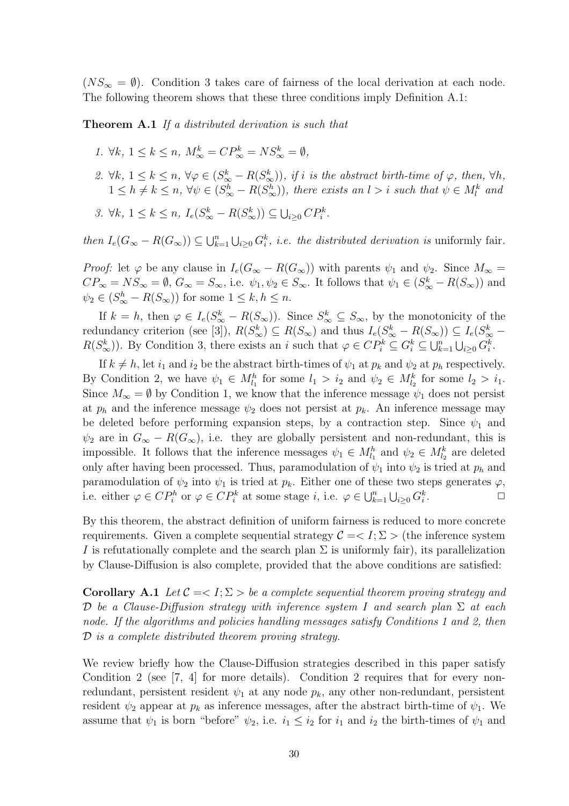$(NS_{\infty} = \emptyset)$ . Condition 3 takes care of fairness of the local derivation at each node. The following theorem shows that these three conditions imply Definition A.1:

**Theorem A.1** If a distributed derivation is such that

- 1.  $\forall k, 1 \leq k \leq n, M^k_{\infty} = CP^k_{\infty} = NS^k_{\infty} = \emptyset$ ,
- 2.  $\forall k, 1 \leq k \leq n, \forall \varphi \in (S^k_{\infty} R(S^k_{\infty}))$ , if i is the abstract birth-time of  $\varphi$ , then,  $\forall h$ ,  $1 \leq h \neq k \leq n$ ,  $\forall \psi \in (S^h_{\infty} - R(S^h_{\infty}))$ , there exists an  $l > i$  such that  $\psi \in M^k_l$  and
- 3.  $\forall k, 1 \leq k \leq n, I_e(S^k_{\infty} R(S^k_{\infty})) \subseteq \bigcup_{i \geq 0} CP^k_i$ .

then  $I_e(G_{\infty} - R(G_{\infty})) \subseteq \bigcup_{k=1}^n \bigcup_{i \geq 0} G_i^k$ , *i.e.* the distributed derivation is uniformly fair.

*Proof:* let  $\varphi$  be any clause in  $I_e(G_{\infty} - R(G_{\infty}))$  with parents  $\psi_1$  and  $\psi_2$ . Since  $M_{\infty} =$  $CP_{\infty} = NS_{\infty} = \emptyset$ ,  $G_{\infty} = S_{\infty}$ , i.e.  $\psi_1, \psi_2 \in S_{\infty}$ . It follows that  $\psi_1 \in (S_{\infty}^k - R(S_{\infty}))$  and  $\psi_2 \in (S^h_{\infty} - R(S_{\infty}))$  for some  $1 \leq k, h \leq n$ .

If  $k = h$ , then  $\varphi \in I_e(S^k_{\infty} - R(S_{\infty}))$ . Since  $S^k_{\infty} \subseteq S_{\infty}$ , by the monotonicity of the redundancy criterion (see [3]),  $R(S_{\infty}^k) \subseteq R(S_{\infty})$  and thus  $I_e(S_{\infty}^k - R(S_{\infty})) \subseteq I_e(S_{\infty}^k R(S_{\infty}^k)$ ). By Condition 3, there exists an i such that  $\varphi \in CP_i^k \subseteq G_i^k \subseteq \bigcup_{k=1}^n \bigcup_{i \geq 0} G_i^k$ .

If  $k \neq h$ , let  $i_1$  and  $i_2$  be the abstract birth-times of  $\psi_1$  at  $p_k$  and  $\psi_2$  at  $p_h$  respectively. By Condition 2, we have  $\psi_1 \in M_{l_1}^h$  for some  $l_1 > i_2$  and  $\psi_2 \in M_{l_2}^k$  for some  $l_2 > i_1$ . Since  $M_{\infty} = \emptyset$  by Condition 1, we know that the inference message  $\psi_1$  does not persist at  $p_h$  and the inference message  $\psi_2$  does not persist at  $p_k$ . An inference message may be deleted before performing expansion steps, by a contraction step. Since  $\psi_1$  and  $\psi_2$  are in  $G_{\infty} - R(G_{\infty})$ , i.e. they are globally persistent and non-redundant, this is impossible. It follows that the inference messages  $\psi_1 \in M_{l_1}^h$  and  $\psi_2 \in M_{l_2}^k$  are deleted only after having been processed. Thus, paramodulation of  $\psi_1$  into  $\psi_2$  is tried at  $p_h$  and paramodulation of  $\psi_2$  into  $\psi_1$  is tried at  $p_k$ . Either one of these two steps generates  $\varphi$ , i.e. either  $\varphi \in CP_i^h$  or  $\varphi \in CP_i^k$  at some stage *i*, i.e.  $\varphi \in \bigcup_{k=1}^n \bigcup_{i \geq 0} G_i^k$ .  $\Box$ 

By this theorem, the abstract definition of uniform fairness is reduced to more concrete requirements. Given a complete sequential strategy  $\mathcal{C} = \langle I; \Sigma \rangle$  (the inference system I is refutationally complete and the search plan  $\Sigma$  is uniformly fair), its parallelization by Clause-Diffusion is also complete, provided that the above conditions are satisfied:

Corollary A.1 Let  $C = \langle I; \Sigma \rangle$  be a complete sequential theorem proving strategy and D be a Clause-Diffusion strategy with inference system I and search plan  $\Sigma$  at each node. If the algorithms and policies handling messages satisfy Conditions 1 and 2, then D is a complete distributed theorem proving strategy.

We review briefly how the Clause-Diffusion strategies described in this paper satisfy Condition 2 (see [7, 4] for more details). Condition 2 requires that for every nonredundant, persistent resident  $\psi_1$  at any node  $p_k$ , any other non-redundant, persistent resident  $\psi_2$  appear at  $p_k$  as inference messages, after the abstract birth-time of  $\psi_1$ . We assume that  $\psi_1$  is born "before"  $\psi_2$ , i.e.  $i_1 \leq i_2$  for  $i_1$  and  $i_2$  the birth-times of  $\psi_1$  and